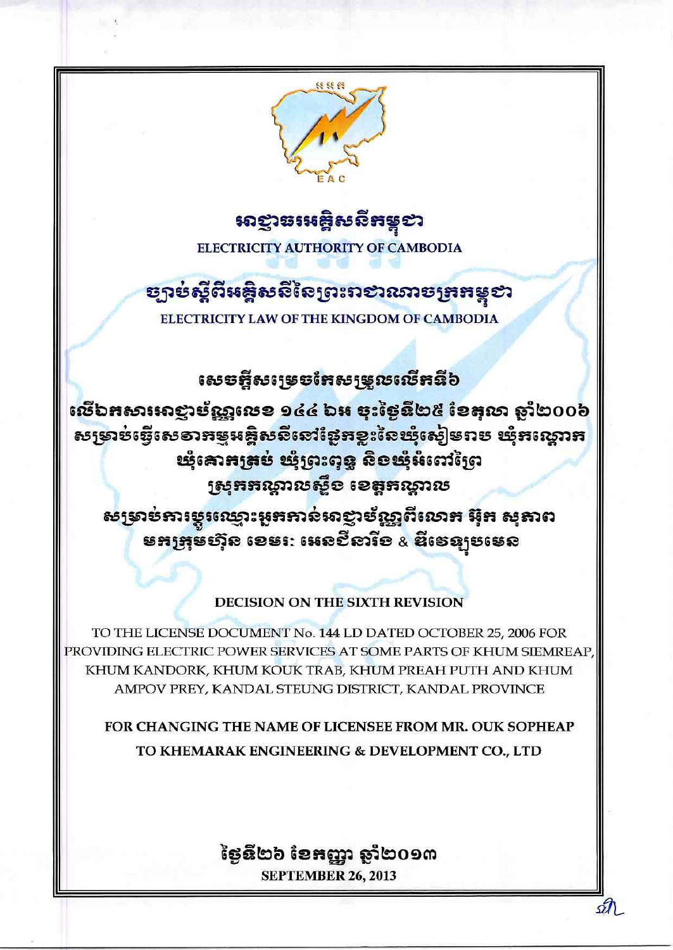

# <mark>សា</mark>ញាធរអគ្គិសនី**ភ**ម្ពុខា

ELECTRICITY AUTHORITY OF CAMBODIA

# **ຮຸງາ**ຍ່ស្តីពីអ<del>ន្តិ</del>សសីសៃព្រះរា**ខា**រឆាច<del>ព្រ</del>អន្តខា

ELECTRICITY LAW OF THE KINGDOM OF CAMBODIA

សេ**ច**អ្អីសម្រេចអែស<u>ម្រួលលើ</u>អនី៦

ឈើឯអសារអាខ្លាម័ណ្ណលេខ ១៤៤ ឯអ ចុះថ្ងៃនឹ២៥ ខែតុលា ឆ្នាំ២០០៦ សទ្រាប់ធ្វើសេខាអម្មអង្គិសនីនៅថ្ងៃអខ្លះនៃឃ្មុំស្ងៀមរាប ឃុំអណ្ដោអ រឆ្នំគោរងនៃ រថ្នូវបះពុទ្ធ តិខរផ្ទំអំពៅក្រៃ ស្រុកគណ្ដាលស្លឹខ ខេត្តគណ្ដាល

សម្រាប់ការម្ភរឈ្មោះអួតតាន់អាខ្លាប័ណ្ណពីលោក អ៊ីត សុតាព **មកត្រុមហ៊ុន ខេម**: អេន៩ីនារីខ & ឌីទេន្យូមមេន

# **DECISION ON THE SIXTH REVISION**

TO THE LICENSE DOCUMENT No. 144 LD DATED OCTOBER 25, 2006 FOR PROVIDING ELECTRIC POWER SERVICES AT SOME PARTS OF KHUM SIEMREAP KHUM KANDORK, KHUM KOUK TRAB, KHUM PREAH PUTH AND KHUM AMPOV PREY, KANDAL STEUNG DISTRICT, KANDAL PROVINCE

**FOR CHANGING THE NAME OF LICENSEE FROM MR. OUK SOPHEAP** TO KHEMARAK ENGINEERING & DEVELOPMENT CO., LTD

# ថ្ងៃនឹ២៦ ខែអញ្ញា ឆ្នាំ២០១៣ **SEPTEMBER 26, 2013**

sτ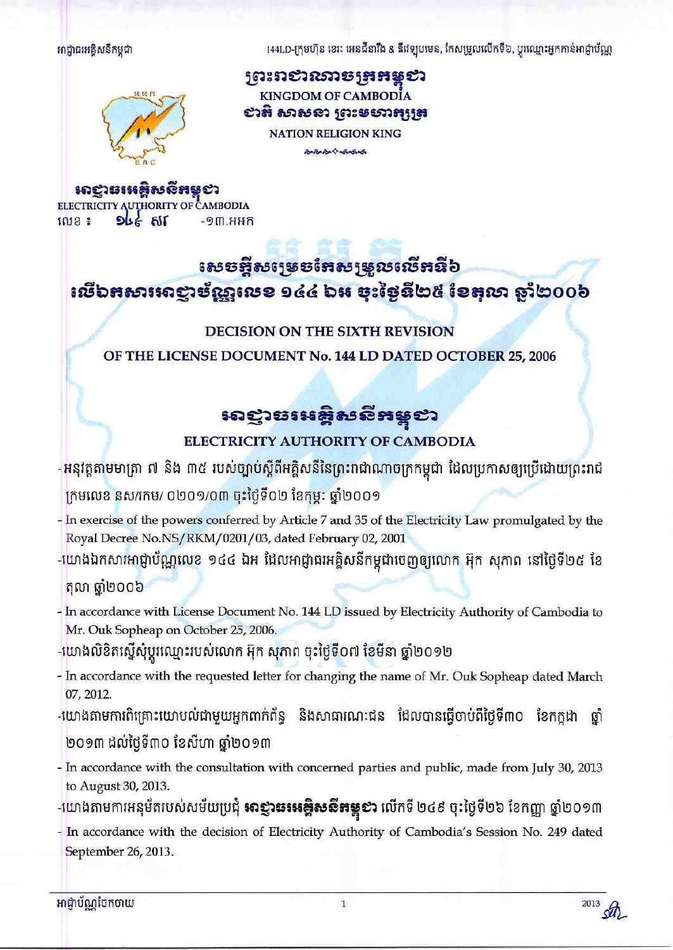អាជ្ញាធរអគ្គិសនីកម្ពុជា

144LD-ក្រុមហ៊ុន ខេរៈ អេនជឺនារីង & ឌីវេទ្យបមេន, កែសម្រួលលើកទី៦, ប្តូរឈ្មោះអ្នកកាន់អាជ្ញាប័ណ្ណ



<u>ព្រះពសារច្បងអន្</u>ទស **KINGDOM OF CAMBODIA** សាតិ សាសនា ព្រះមហាអុត្រេ **NATION RELIGION KING** 

contract to contract

សេដ្ឋាធរអគ្គិសនីអន្តថា ELECTRICITY AUTHORITY OF CAMBODIA

**លេខ ៖**  $916$   $61$  $-9<sub>m,HHH</sub>$ 

# <u>នេះទន្ទឹសស្ទេទអែស្សម្លូលលើអនី៦</u> សើឯអសារអាឡាម័ណ្ណលេខ ១៤៤ ឯអ ចុះថ្ងៃនី២៥ ខែតុលា ឆ្នាំ២០០៦

# **DECISION ON THE SIXTH REVISION**

OF THE LICENSE DOCUMENT No. 144 LD DATED OCTOBER 25, 2006

# សន្មានអេឌ្គិសនីតម្កូខា

# ELECTRICITY AUTHORITY OF CAMBODIA

-អនុវត្តតាមមាត្រា ៧ និង ៣៥ របស់ច្បាប់ស្តីពីអគ្គិសនីនៃព្រះរាជាណាចក្រកម្ពុជា ដែលប្រកាសឲ្យប្រើដោយព្រះរាជ

ក្រមលេខ នស/រកម/ ០២០១/០៣ ចុះថ្ងៃទី០២ ខែកុម្ភៈ ឆ្នាំ២០០១

- In exercise of the powers conferred by Article 7 and 35 of the Electricity Law promulgated by the Royal Decree No.NS/RKM/0201/03, dated February 02, 2001
- -យោងឯកសារអាជ្ញាប័ណ្ណលេខ ១៤៤ ឯអ ដែលអាជ្ញាធរអគ្គិសនីកម្ពុជាចេញឲ្យលោក អ៊ុក សុភាព នៅថ្ងៃទី២៥ ខែ តុលា ឆ្នាំ២០០៦
- In accordance with License Document No. 144 LD issued by Electricity Authority of Cambodia to Mr. Ouk Sopheap on October 25, 2006.
- -យោងលិខិតស្នើសុំប្តូរឈ្មោះរបស់លោក អ៊ុក សុភាព ចុះថ្ងៃទី០៧ ខែមីនា ឆ្នាំ២០១២
- In accordance with the requested letter for changing the name of Mr. Ouk Sopheap dated March 07, 2012.
- -យោងតាមការពិគ្រោះយោបល់ជាមួយអ្នកពាក់ព័ន្ធ និងសាធារណៈជន ដែលបានធ្វើបាប់ពីថ្ងៃទី៣០ ខែកក្កដា ឆ្នាំ ២០១៣ ដល់ថ្ងៃទី៣០ ខែសីហា ឆ្នាំ២០១៣
- In accordance with the consultation with concerned parties and public, made from July 30, 2013 to August 30, 2013.
- -យោងតាមការអនុម័តរបស់សម័យប្រជុំ **អាខ្ញារឆរអ<del>ន្</del>ទិសសី<del>អ</del>ន្ត្***ខា* **លើកទី ២៤៩ ចុះថ្ងៃទី២៦ ខែកញ្ញា ឆ្នាំ២០១៣**
- In accordance with the decision of Electricity Authority of Cambodia's Session No. 249 dated September 26, 2013.

អាជ្ញាប័ណ្ណបែកចាយ

2013 str.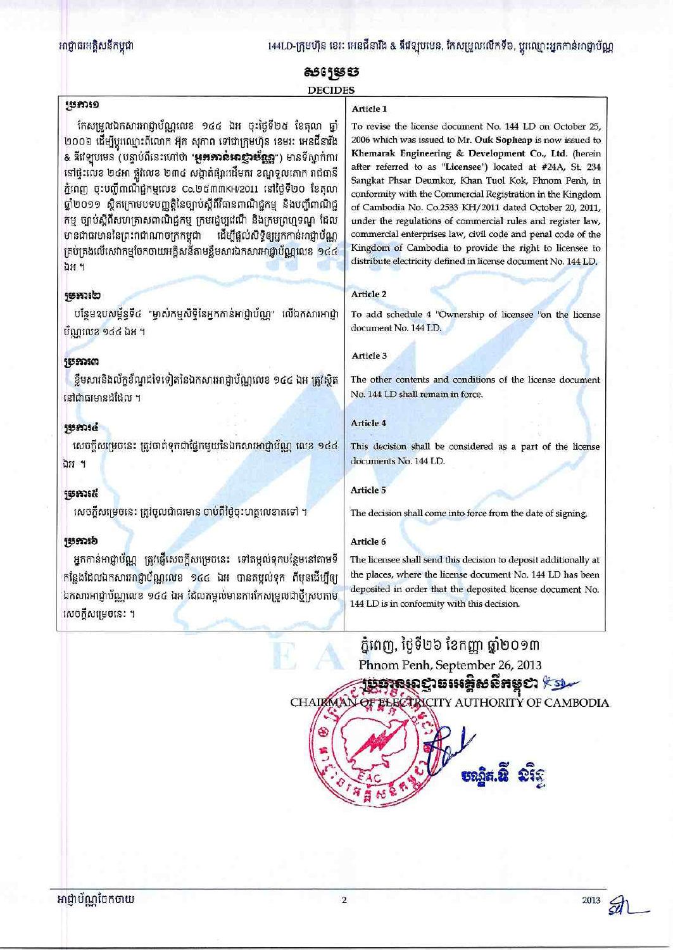### អាជ្ញាធរអគ្គិសនីកម្ពុជា

144LD-ក្រុមហ៊ុន ខេវៈ អេនជីនារីង & ឌីវេទ្យបមេន, កែសម្រួលលើកទី៦, ប្តូរឈ្មោះអ្នកកាន់អាជ្ញាប័ណ្ណ

# 8565SS S **DECIDES**

#### 5559759

កែសម្រួលឯកសារអាជ្ញាប័ណ្ណលេខ ១៤៤ ឯអ ចុះថ្ងៃទី២៥ ខែតុលា ឆ្នាំ ២០០៦ ដើម្បីប្ដូរឈ្មោះពីលោក អ៊ុក សុភាព ទៅជាក្រុមហ៊ុន ខេមរៈ អេនជីនារីង & នីវេឡុបមេន (បន្ទាប់ពីនេះហៅថា "**អូគគោន់អាខ្មាប់ខ្ញួ**ន្ទា") មានទីស្នាក់ការ នៅផ្ទះលេខ ២៤អា ផ្លូវលេខ ២៣៤ សង្កាត់ផ្សារដើមគរ ខណ្ឌទួលគោក រាជធានី ភ្នំពេញ ចុះបញ្ជីពាណិជ្ជកម្មលេខ Co.២៥៣៣KH/2011 នៅថ្ងៃទី២០ ខែតុលា ឆ្នាំ២០១១ ស្ថិតក្រោមបទបញ្ញត្តិនៃច្បាប់ស្តីពីវិធានពាណិជ្ជកម្ម និងបញ្ចីពាណិជ្ជ កម្ម ច្បាប់ស្តីពីសហគ្រាសពាណិជ្ជកម្ម ក្រមរដ្ឋប្បវេណី និងក្រមព្រហ្មទណ្ឌ ដែល មានជាធរមាននៃព្រះរាជាណាចក្រកម្ពុជា ដើម្បីផ្តល់សិទ្ធិឲ្យអ្នកកាន់អាជ្ញាប័ណ្ណ គ្រប់គ្រងលើសេវាកម្មចែកចាយអគ្គិសនីតាមខ្លឹមសារឯកសារអាជ្ញាប័ណ្ណលេខ ១៤៤ ឯអ ។

## **5557350**

បន្ថែមឧបសម្ព័ន្ធទី៤ "ម្ចាស់កម្មសិទ្ធិនៃអ្នកកាន់អាជ្ញាប័ណ្ណ" លើឯកសារអាជ្ញា ប័ណ្ណលេខ ១៤៤ ឯអ ។

## **55553507**

ខ្លឹមសារនិងល័ក្ខខ័ណ្ឌដទៃទៀតនៃឯកសារអាជ្ញាប័ណ្ណលេខ ១៤៤ ឯអ ត្រូវស្វិត នៅជាធរមានដដែល ។

## $55536$

សេចក្តីសម្រេចនេះ ត្រូវចាត់ទុកជាផ្នែកមួយនៃឯកសារអាជ្ញាប័ណ្ណ លេខ ១៤៤ ឯអ ។

## **jssma&**

សេចក្តីសម្រេចនេះ ត្រូវចូលជាធរមាន ចាប់ពីថ្ងៃចុះហត្ថលេខាតទៅ ។

## **jumid**

អ្នកកាន់អាជ្ញាប័ណ្ណ ត្រូវផ្ញើសេចក្តីសម្រេចនេះ ទៅតម្កល់ទុកបន្ថែមនៅតាមទី កន្លែងដែលឯកសារអាជ្ញាប័ណ្ណលេខ ១៤៤ ឯអ បានតម្កល់ទុក ពីមុនដើម្បីឲ្យ ឯកសារអាជ្ញាប័ណ្ណលេខ ១៤៤ ឯអ ដែលតម្កល់មានការកែសម្រួលជាថ្មីស្របតាម សេចក្តីសម្រេចនេះ ។

To revise the license document No. 144 LD on October 25, 2006 which was issued to Mr. Ouk Sopheap is now issued to Khemarak Engineering & Development Co., Ltd. (herein after referred to as "Licensee") located at #24A, St. 234 Sangkat Phsar Deumkor, Khan Tuol Kok, Phnom Penh, in conformity with the Commercial Registration in the Kingdom of Cambodia No. Co.2533 KH/2011 dated October 20, 2011, under the regulations of commercial rules and register law, commercial enterprises law, civil code and penal code of the Kingdom of Cambodia to provide the right to licensee to distribute electricity defined in license document No. 144 LD.

#### Article 2

Article 1

To add schedule 4 "Ownership of licensee "on the license document No. 144 LD.

#### Article 3

The other contents and conditions of the license document No. 144 LD shall remain in force.

#### Article 4

This decision shall be considered as a part of the license documents No. 144 LD.

#### **Article 5**

The decision shall come into force from the date of signing.

### Article 6

The licensee shall send this decision to deposit additionally at the places, where the license document No. 144 LD has been deposited in order that the deposited license document No. 144 LD is in conformity with this decision.

ភ្នំពេញ, ថ្ងៃទី២៦ ខែកញ្ញា ឆ្នាំ២០១៣ Phnom Penh, September 26, 2013

<del>jemru</del>cisinênêhyei <sup>kel</sup> ECTRICITY AUTHORITY OF CAMBODIA **CHAIRMAT** 

អាជ្ញាប័ណ្ណបែកចាយ

 $2013$   $54$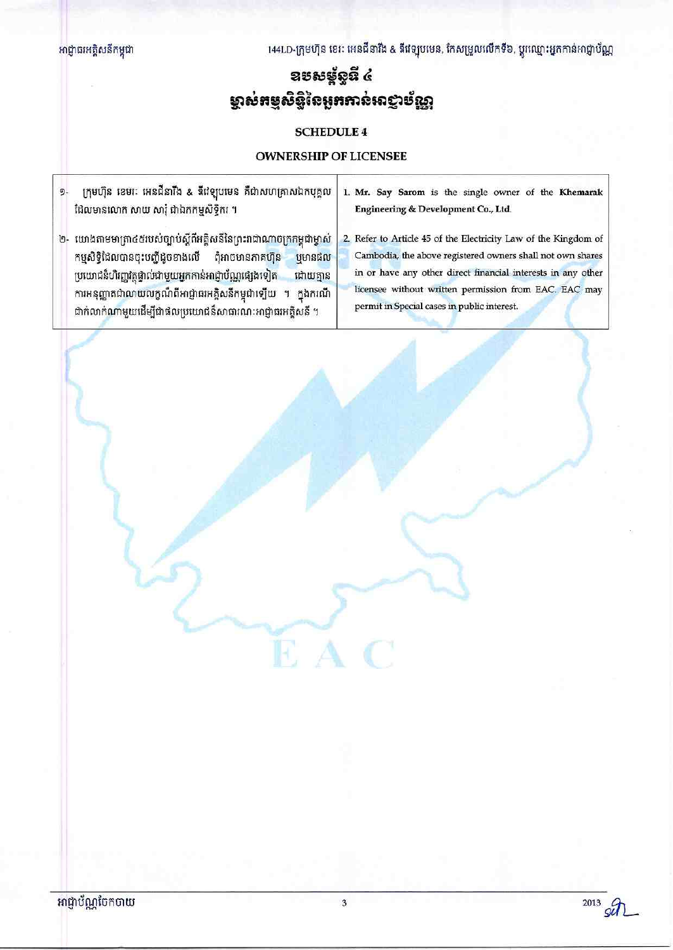144LD-ក្រុមហ៊ុន ខេរៈ អេនជីនារីង & ឌីវេឡុបមេន, កែសម្រួលលើកទី៦, ប្តូរឈ្មោះអ្នកកាន់អាជ្ញាប័ណ្ណ

# ឧមសម្ព័ន្ធដ៏ ៤ ម្ចាស់អម្មសិន្ធិនៃអូអអាន់អាជ្ញាម័ណ្ណ

# **SCHEDULE 4**

## **OWNERSHIP OF LICENSEE**

 $\mathbf{I}$ 

| 9. | ក្រុមហ៊ុន ខេមរៈ អេនជីនារីង & ឌីវេឡបមេន គឺជាសហគ្រាសឯកបុគ្គល<br>ដែលមានលោក សាយ សារ៉ុ ជាឯកកម្មសិទ្ធិករ ។                                                                                                                                                                                                                                                       | 1. Mr. Say Sarom is the single owner of the Khemarak<br>Engineering & Development Co., Ltd.                                                                                                                                                                                                           |
|----|------------------------------------------------------------------------------------------------------------------------------------------------------------------------------------------------------------------------------------------------------------------------------------------------------------------------------------------------------------|-------------------------------------------------------------------------------------------------------------------------------------------------------------------------------------------------------------------------------------------------------------------------------------------------------|
| ២- | យោងតាមមាត្រា៤៥របស់ច្បាប់ស្តីពីអគ្គិសនីនៃព្រះរាជាណាចក្រកម្ពុជាម្ចាស់<br>កម្មសិទ្ធិដែលបានចុះបញ្ជីដូចខាងលើ<br>ពុំអាចមានភាគហ៊ុន<br>បមានផល<br>ប្រយោជន៏ហិរញ្ញវត្ថុផ្ទាល់ជាមួយអ្នកកាន់អាជ្ញាប័ណ្ណផ្សេងទៀត<br>ដោយគ្មាន<br>ការអនុញ្ញាតជាលាយលក្ខណ៏ពីអាជ្ញាធរអគ្គិសនីកម្ពុជាឡើយ<br>កងករណី<br>$\mathbf{q}$<br>ជាក់លាក់ណាមួយដើម្បីជាផលប្រយោជន៏សាធារណៈអាជ្ញាធរអគ្គិសនី ។ | 2. Refer to Article 45 of the Electricity Law of the Kingdom of<br>Cambodia, the above registered owners shall not own shares<br>in or have any other direct financial interests in any other<br>licensee without written permission from EAC. EAC may<br>permit in Special cases in public interest. |
|    |                                                                                                                                                                                                                                                                                                                                                            |                                                                                                                                                                                                                                                                                                       |

 $\mathbb{F}$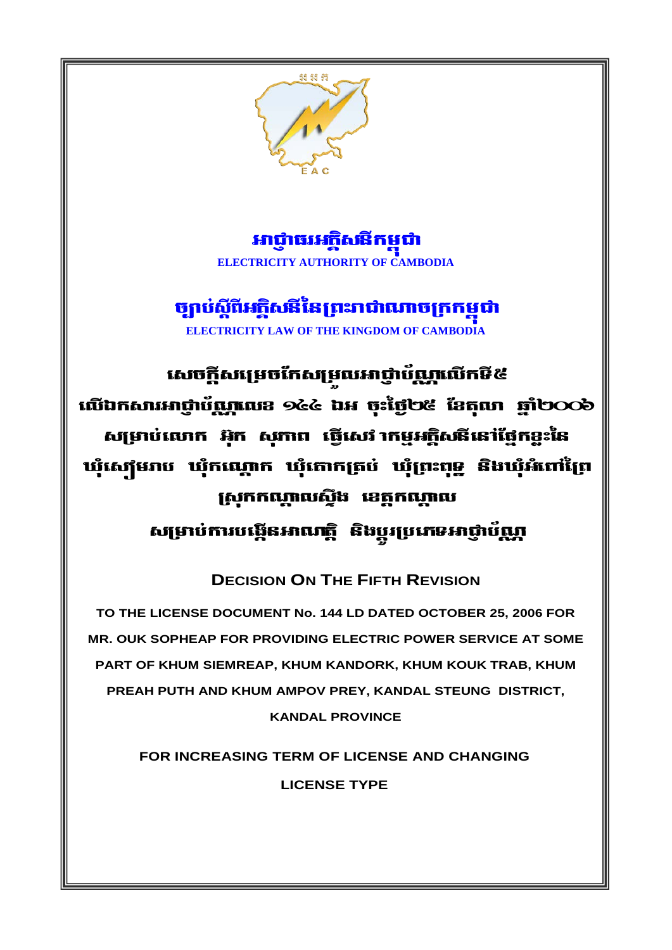

អាជាធរអភិសនីកមជា **ELECTRICITY AUTHORITY OF CAMBODIA** 

ច្បាប់ស្តីពីអត្ថិសនីនៃព្រះរាជាណាចក្រកម្ពុជា **ELECTRICITY LAW OF THE KINGDOM OF CAMBODIA** 

សេចក្តីសម្រេចកែសម្រឈអាជ្ញាប័ណ្ណលើកមី៥ លើឯកសារអាជ្ញាប័ណ្ណលេខ ១៤៤ ឯអ ចុះថ្ងៃ២៥ ខែតុលា ឆ្នាំ២೦೦៦ សម្រាប់លោក អ៊ុក សុភាព ធ្វើសេវ កេម្មអក្តិសនីនៅថ្នៃកខ្លះនៃ ឃុំស្យើមរាប ឃុំកណ្ដោក ឃុំកោកត្រប់ ឃុំព្រះពុទ្ធ និងឃុំអំពៅព្រៃ ស្រុកកណ្ដាលស្ទឹង ខេត្តកណ្ដាល សម្រាប់ការបង្កើនអាណត្តិ និងប្តូរប្រភេទអាជ្ញាប័ណ្ណ

**DECISION ON THE FIFTH REVISION** 

TO THE LICENSE DOCUMENT No. 144 LD DATED OCTOBER 25, 2006 FOR MR. OUK SOPHEAP FOR PROVIDING ELECTRIC POWER SERVICE AT SOME PART OF KHUM SIEMREAP, KHUM KANDORK, KHUM KOUK TRAB, KHUM PREAH PUTH AND KHUM AMPOV PREY, KANDAL STEUNG DISTRICT, **KANDAL PROVINCE** 

> FOR INCREASING TERM OF LICENSE AND CHANGING **LICENSE TYPE**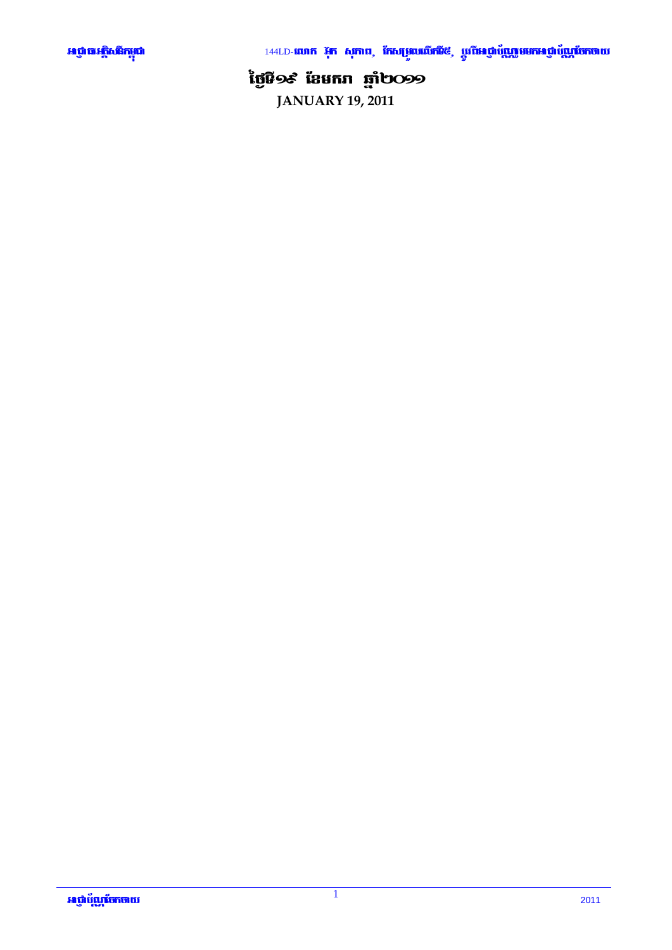

144LD-**លោក រ៉ុក សុភាព, កែសម្រួលលើកដី**៥, ប្តូរ**ីអេឡាប័ុណ្ណមមកអេឡាប័ុណ្ណចែកចាយ** 

# ថ្ងៃមី១៩ ខែមករា ឆ្នាំ២<u>0</u>99

**JANUARY 19, 2011**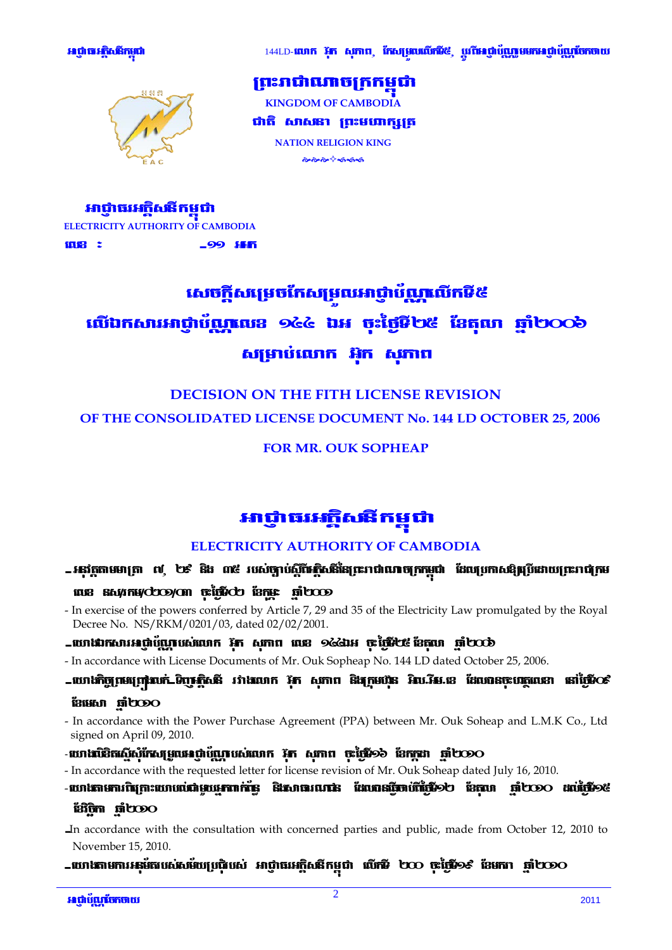

144LD-លោក រ៉ុក សុភាព, កែសម្រារលើក៉ើ៥, ប្រពីអេជ្ញាប័ណ្ណមមកអេជ្ញាប័ណ្ណចែកចាយ



ព្រះរាជាណាចក្រកមជា **KINGDOM OF CAMBODIA** ជាតិ សាសនា ព្រះមបាក្សត្រ **NATION RELIGION KING** ๛๛๛<sup>๛</sup>๛๛๛

អាជាធរអភិសនីកមជា ELECTRICITY AUTHORITY OF CAMBODIA **ing : \_99 ISK** 

# សេចក្តីសម្រេចកែសម្រលអាជ្ញាប័ណ្ណលើកទី៥ លើឯកសារអាជាប័ណលេខ ១៤៤ ឯអ ចះថៃទី២៥ ខែតលា ឆាំ២០០៦ សម្រាប់លោក អ៊ុក សុភាព

# **DECISION ON THE FITH LICENSE REVISION** OF THE CONSOLIDATED LICENSE DOCUMENT No. 144 LD OCTOBER 25, 2006

## **FOR MR. OUK SOPHEAP**

# អាជ្ញាធរអត្តិសតីកម្ពុជា

# **ELECTRICITY AUTHORITY OF CAMBODIA**

# - អនុវត្តតាមមាត្រា ៧ ២៩ និង ៣៥ របស់ច្បាប់ស្តីពីអគ្គិសនីនៃព្រះរាជាណាចក្រកម្ពុជា ដែលប្រកាសឱ្យប្រដោយព្រះរាជក្រម นนิย สัญชาสต์doo/on ซูเน้นเปียว เอกมะ ที่ไชออ

- In exercise of the powers conferred by Article 7, 29 and 35 of the Electricity Law promulgated by the Royal Decree No. NS/RKM/0201/03, dated 02/02/2001.

## -យោងរាសារអព្ភាប័ណ្ណបស់លោក រ៉ូត សុភាព លេខ ១៤៤រអ ចុះថ្មីទី២៩ ខែតុលា ឆ្នាំ២០០៦

- In accordance with License Documents of Mr. Ouk Sopheap No. 144 LD dated October 25, 2006.
- -យោងកិច្ចព្រមព្រៀលក់ ទិញស្តិ៍សនី រវាងលោក រ៉ូត សុភាព និងក្រុមហ៊ុន អិល.រ៉ឺម.ខេ ដែលបានចុះបរត្ថលេខា នៅថ្ងៃទី០៩ **i31950 micology**
- In accordance with the Power Purchase Agreement (PPA) between Mr. Ouk Soheap and L.M.K Co., Ltd signed on April 09, 2010.
- **-ឃោងបិដិតស្នើសុំកែសម្រួលអេជ្ញាប័ណ្ណរបស់លោក រ៉ូភ សុភាព ចុះថ្ងៃទី១៦ ខែកក្កដា ឆ្នាំ២០១o**
- In accordance with the requested letter for license revision of Mr. Ouk Soheap dated July 16, 2010.
- **Example occurs occurs designations announs an energy and more conservation**.

## **Bign nicoo**

- In accordance with the consultation with concerned parties and public, made from October 12, 2010 to November 15, 2010.
- -យោងតាមការអនុម័តរបស់សម័យប្រជុំរបស់ អាជ្ញាធរអគ្គិសនីកម្ពុជា លើកមី ២០០ ចុះថ្ងៃទី១៩ ខែមករា ឆ្នាំ២០១០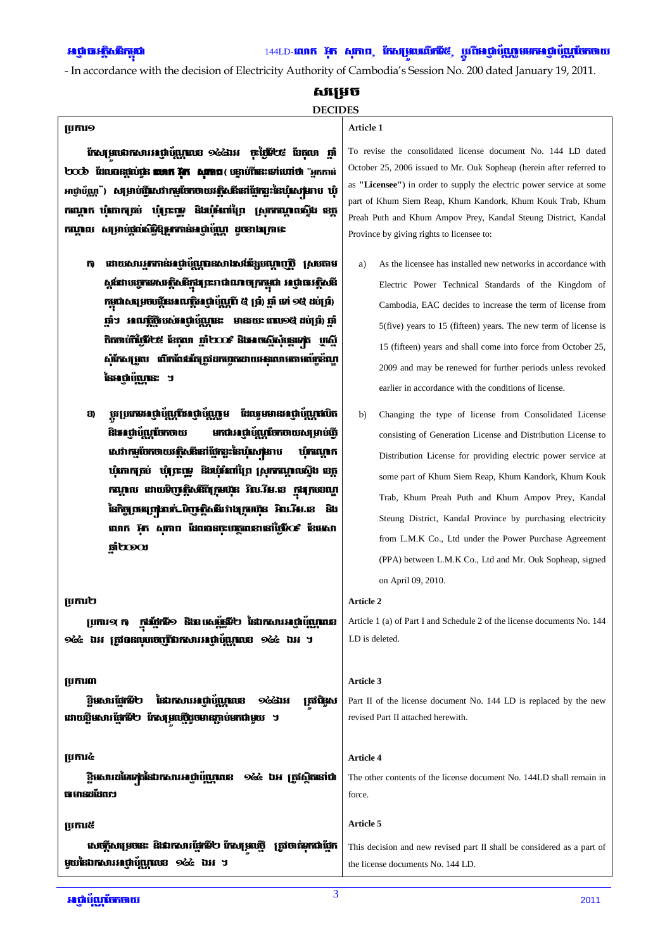- In accordance with the decision of Electricity Authority of Cambodia's Session No. 200 dated January 19, 2011.

#### សសេច

### **DECIDES**

#### **ប្រការ**១

កែសម្រាប់កេសារអព្ភំប័ណ្ណពេន ១៤៤រអ ចុះថ្មីទី៤៩ ខែតុលា ឆ្នាំ boob Enunstitute won in Amm (unifies within "unni អាជ្ញាប័ណ្ណ ) សម្រាប់ពីរសេវាកម្មចែកចាយអត្ថិសនីនៅពែកខ្ទះនៃឃុំសេស្រាប ឃុំ កណ្ដេក ឃុំភោកត្រប់ ឃុំព្រះឆ្នេ និងឃុំអំពាំព្រៃ ស្រុកកណ្ដលស្ទឹង ខេត្ត កណ្ឌល សម្រាប់ផល់សិទ្ធិន្នកកាន់អាជ្ញាប័ណ្ណ ដូចខាងក្រោមៈ

- ដោយសារអាកាន់អាជ្ញាប័ណ្ណពនសាងសង់ខ្សែបណ្តាញពី ស្របតាម m. ស្តដោបច្ចេកទេសអត្ថិសនីក្នុងព្រះរាជាណាចក្រកម្ពុជា អាជ្ញាធរអត្ថិសនី កម្ពុជាសម្រេចផ្តើនអាណត្តិអព្ភប៉ុណ្ណែរី ៥ ប៉ា ឆ្នាំ ទៅ ១៥ ដប់ប៉ា ញាំ។ អាណត្តិថ្មីបស់អណ្តំហ្ក្រែនេះ មានរយៈ ពេល១៥ ដប់ប្រំ) ថ្មាំ កិតចាប់ពីថ្ងៃទី២៩ ខែតុលា ឆ្នាំ២០០៩ និងអាចស្នើសុំផ្តោទេត្រ បូស្នើ សំភែសម្រួល លើកលែងតែត្រូវដកហូតដោយអនុលោមតាមលំក្រខំណូ នៃអាជាបំណានៈ ។
- យប្រភេទអណ្តប័ណ្ណពីអេជ្ញាប័ណ្ណរួម ដែលរួមមានអេជ្ញាប័ណ្ណពលិត 3 និងអាជាប័ណ្ណចែកចាយ មកជាអាជ្ញាប័ណ្ណចែកចាយសម្រាប់ពី សេវាកម្មចែកចាយអត្ថិសនីនៅផ្នែកខ្លះនៃប៉ុសេស្រាប ហើយោក ឃុំភោកត្រប់ ឃុំត្រះពុទ្ធ និងឃុំអំពាំព្រៃ ស្រុកកណ្ដាលស្ទឹង ខេត្ត កណ្តាល ដោយទិព្វាស្ថិសនីពីក្រុមហ៊ុន អិល.វិស.ខេ ក្នុងក្របខណ្ឌ នៃកិច្ចព្រមព្រាលក់ ទិញស្តិសនីរ វាងក្រុមហ៊ុន អិល.វិស.ខេ និង លោក រ៉ុក សុភាព ដែលបានចុះបរត្តលេខានៅថ្ងៃទីos ខែមេសា nicoo

### បេការ២

 $\mu$ ការ $\alpha$  ក $\alpha$  ក្នុងផ្នែកទី១ និងឧបសម្ព័ន្ធទី២ នៃឯកសារអាជ្ញាប័ណ្ណពេខ odde ឯអ ត្រូវបានលុបចេញពីឯកសារអេជ្ញាប័ណ្ណពេន odde ឯអ ។

## ប្រការ៣

នៃឯកសារអាជាបំណាលខ **วิชธภภพีที่ชา** ស្រីជិនស ०ढेढेाअ ដោយខ្លឹមសារ ផ្នែកទី២ កែសាមលើដូចមានភ្ជាប់មកជាមួយ ។

### ប្រការ៤

ិ្តិមសារដ**ំទេទក់នៃឯក**សារអណ្តំយ៉ូណូលេខ ១៤៤ ឯអ ត្រូវស្ថិតនៅជា បាមានដដែលៗ

### ប្រការ៥

សេចក្តីសម្តេចនេះ និងឯកសារផ្នែកទី២ កែសម្រលើ ត្រូវចាត់ទុកជាផ្នែក មួយនៃឯកសារអណ្តំហ្គែញពេន ១៤៤ ឯអ ។

#### Article 1

To revise the consolidated license document No. 144 LD dated October 25, 2006 issued to Mr. Ouk Sopheap (herein after referred to as "Licensee") in order to supply the electric power service at some part of Khum Siem Reap, Khum Kandork, Khum Kouk Trab, Khum Preah Puth and Khum Ampov Prey, Kandal Steung District, Kandal Province by giving rights to licensee to:

- As the licensee has installed new networks in accordance with a) Electric Power Technical Standards of the Kingdom of Cambodia. EAC decides to increase the term of license from 5(five) years to 15 (fifteen) years. The new term of license is 15 (fifteen) years and shall come into force from October 25, 2009 and may be renewed for further periods unless revoked earlier in accordance with the conditions of license.
- $b)$ Changing the type of license from Consolidated License consisting of Generation License and Distribution License to Distribution License for providing electric power service at some part of Khum Siem Reap, Khum Kandork, Khum Kouk Trab, Khum Preah Puth and Khum Ampov Prey, Kandal Steung District, Kandal Province by purchasing electricity from L.M.K Co., Ltd under the Power Purchase Agreement (PPA) between L.M.K Co., Ltd and Mr. Ouk Sopheap, signed on April 09, 2010.

#### Article 2

Article 1 (a) of Part I and Schedule 2 of the license documents No. 144 LD is deleted.

#### Article 3

Part II of the license document No. 144 LD is replaced by the new revised Part II attached herewith.

#### Article 4

The other contents of the license document No. 144LD shall remain in force.

#### Article 5

This decision and new revised part II shall be considered as a part of the license documents No. 144 LD.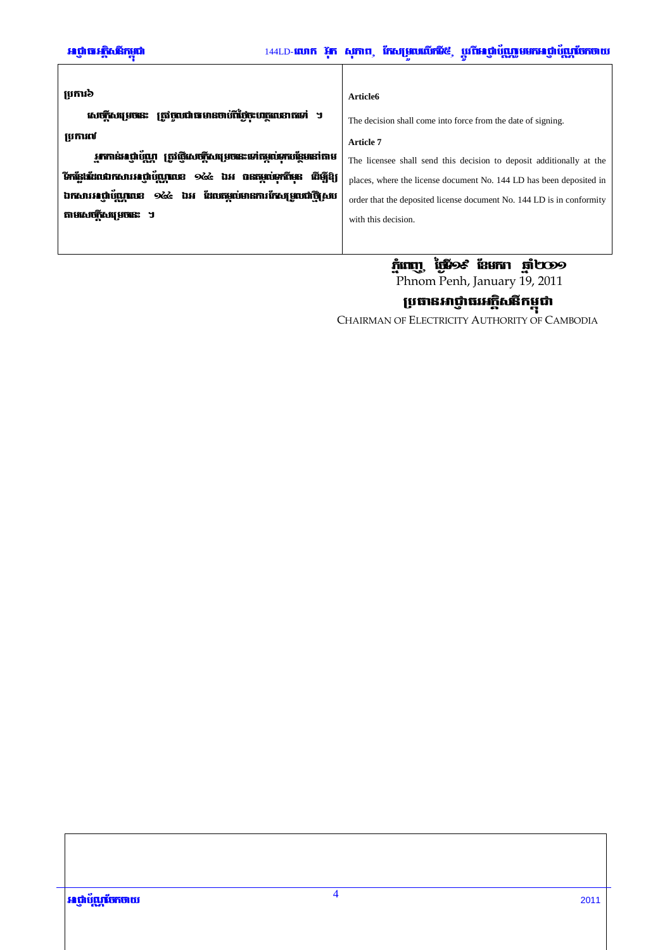| ប្រការ៦                                                              | Article6                                                              |
|----------------------------------------------------------------------|-----------------------------------------------------------------------|
| សេចក្តីសម្រេចនេះ ត្រូវចូលជាធមានចាប់ពីថ្ងៃចុះបរក្ខលេខាតទៅ ។           | The decision shall come into force from the date of signing.          |
| ប្រការល                                                              | Article 7                                                             |
| អ្នកកាន់អាថ្នាំប័ណ្ណ ត្រូវថ្មីសេចក្តីសម្រេចនេះទៅតម្កល់ទុកបន្ថែមនៅតាម | The licensee shall send this decision to deposit additionally at the  |
| วิทธิ์เส้นตกการสถิชันทณะ ๑๕๔ นิย กรณณ์อกำิเล<br><b>ដើ</b> រើខ្សែ     | places, where the license document No. 144 LD has been deposited in   |
| ឯកសារអណ្តំយួយនេះ ១៤៤ ឯអ ដែលកម្មលំមានការកែសម្រួលជាថ្មីសប              | order that the deposited license document No. 144 LD is in conformity |
| តាមសេចក្តីសម្រេចនេះ ។                                                | with this decision.                                                   |
|                                                                      |                                                                       |
|                                                                      |                                                                       |

# **กำเทบู เ้นือะ เอยกา คู่เบออ**

Phnom Penh, January 19, 2011

**ប្រធានអាថ្ញាធរអគ្គិសនីកម្ពុជា**<br>Chairman of Electricity Authority of Cambodia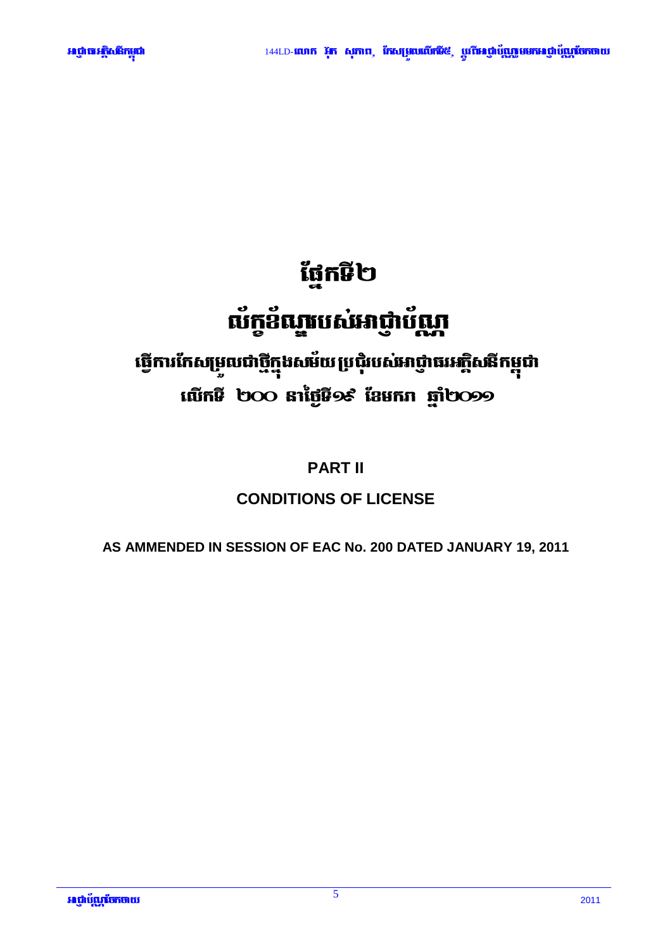

# ផ្នែកទី២

# ល័ក្ខខ័ណ្ឌបស់អាជ្ញាប័ណ្ណ

# ធ្វើការកែសម្រួលជាថ្មីក្នុងសម័យប្រជុំរបស់អាជ្ញាធរអក្តិសនីកម្ពុជា **เพิกษิ ๒๐๐ ลาเ้ชูษิวะ เ้ยยกก ฐา๒๐๑๑**

# **PART II**

# **CONDITIONS OF LICENSE**

AS AMMENDED IN SESSION OF EAC No. 200 DATED JANUARY 19, 2011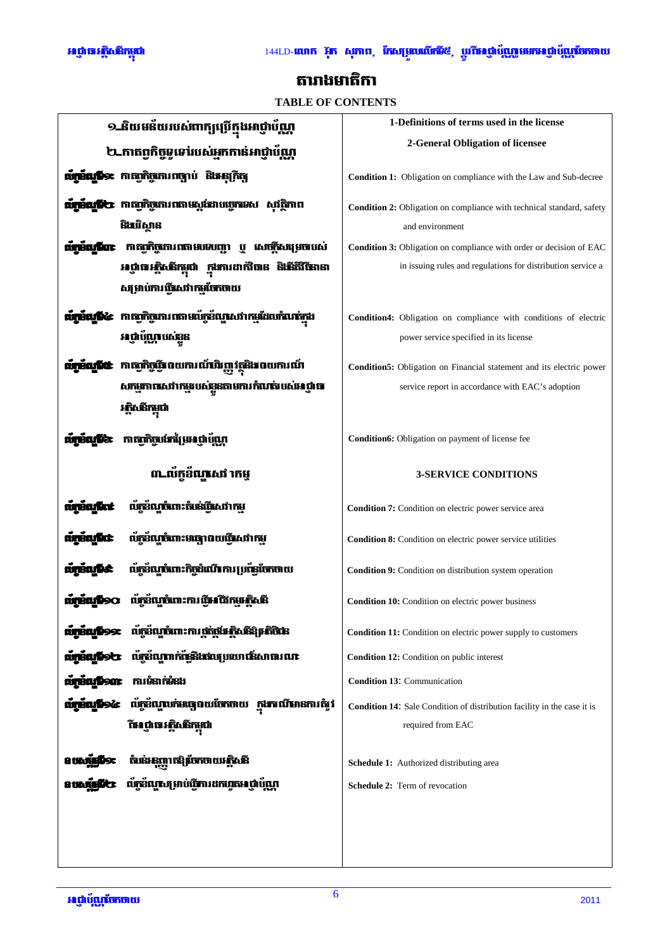

# តារាងមាតិកា

# **TABLE OF CONTENTS**

| ១_និយមន័យរបស់ពាក្យប្រើក្នុងអាជ្ញា                                     | 1-Definitions of terms used in the license                               |  |
|-----------------------------------------------------------------------|--------------------------------------------------------------------------|--|
| ២_កាតព្វកិច្ចទូទៅរបស់អ្នកកាន់អាជ្ញាប័ណ្ណ                              | 2-General Obligation of licensee                                         |  |
| <b>រី១៖</b> កាតព្រឹត្តតោរពច្បាប់ និងអនុក្រិត្យ                        | <b>Condition 1:</b> Obligation on compliance with the Law and Sub-decree |  |
|                                                                       |                                                                          |  |
| <b>វើ២</b> កាតព្វកិច្ចតោរពតាមស្តម៉ះរាបច្ចេកទេស សុវត្ថិភាព             | Condition 2: Obligation on compliance with technical standard, safety    |  |
| និងវិវិស្វាន                                                          | and environment                                                          |  |
| កាតព្រិច្ចការពតាមរេមវេញ ប្<br>សេចក្តីសង្រេចរបស់<br>ning par           | Condition 3: Obligation on compliance with order or decision of EAC      |  |
| កងការដាក់វិធាន និ <del>ងើ</del> តិវិធីនានា<br>អាជ្ញាធរត្តិសង្កកម្ពុជា | in issuing rules and regulations for distribution service a              |  |
| សម្រាប់ការធ្វើសេវាកម្មចែកចាយ                                          |                                                                          |  |
| កាតព្រឹត្តតោរពតាមប៉េក្កខ័ណ្តសេវាកម្មដែលកំណត់កូង<br>KŒ                 | Condition4: Obligation on compliance with conditions of electric         |  |
| អាជាប័ណាបស់ខន                                                         | power service specified in its license                                   |  |
| កាតព្រិច្ចធ្វើពយការណ៍អិញវត្ថុនិងពេយការណ៍                              | Condition5: Obligation on Financial statement and its electric power     |  |
| សកម្មភាពសេវាកម្មរបស់ខ្លួនតាមការកំណត់របស់អេជ្ញាធ                       | service report in accordance with EAC's adoption                         |  |
|                                                                       |                                                                          |  |
| កាតព្វកិច្ចបងកន្សែមអណ្តំប័ណ្ណ                                         | Condition6: Obligation on payment of license fee                         |  |
|                                                                       |                                                                          |  |
| ៣-លំកូខ័ណ្ឌសេវ៉ាកម្                                                   | <b>3-SERVICE CONDITIONS</b>                                              |  |
| ល័ក្តខ័ណ្ឌចំពោះតំបន់ពីសេវាកម្ម                                        | Condition 7: Condition on electric power service area                    |  |
| ល័ក្តខ័ណ្ឌចំពោះមធ្យោបាយធ្វើសេវាកម្                                    | <b>Condition 8:</b> Condition on electric power service utilities        |  |
| ល័ក្កខ័ណ្ឌចំពោះកិច្ចដំណើរ ការ ប្រព័ន្ធចែកចាយ                          | Condition 9: Condition on distribution system operation                  |  |
| លក3ណបំពោះការ បើអណីកម <del>រ</del> ភិ                                  | <b>Condition 10:</b> Condition on electric power business                |  |
| ល័ក្តដំណូបំពោះការផ្តត់ផ្តង់អត្តិសនីឱ្យអតិថិជន<br>amanios:             | Condition 11: Condition on electric power supply to customers            |  |
| ល័ក្ខខ័ណ្ឌពក់ផ្ទៃនិងវេលប្រយោធន៍សាធារណៈ<br><b>aminufolo</b>            | Condition 12: Condition on public interest                               |  |
| ការទំនាក់ទំនង<br><b>urrafiont</b>                                     | <b>Condition 13: Communication</b>                                       |  |
| ល័ក្កខ័ណ្ឌលក់មធ្យោបាយចែកថាយ ក្នុងករណីមានការតំរូវ<br><b>unnanpoc</b>   | Condition 14: Sale Condition of distribution facility in the case it is  |  |
| វិអេជ្ញាធរ-ក្តិសនីកម្ពុជា                                             | required from EAC                                                        |  |
|                                                                       |                                                                          |  |
| កំផេរ ឆុញ្ញាកឱ្យចែកចាយអត្តិសនី                                        | Schedule 1: Authorized distributing area                                 |  |
| ល័ក្កដ៏ល្អសម្រាប់ធ្វើការដកហ្វូតអេជ្ញាប័ណ្ណា                           | <b>Schedule 2:</b> Term of revocation                                    |  |
|                                                                       |                                                                          |  |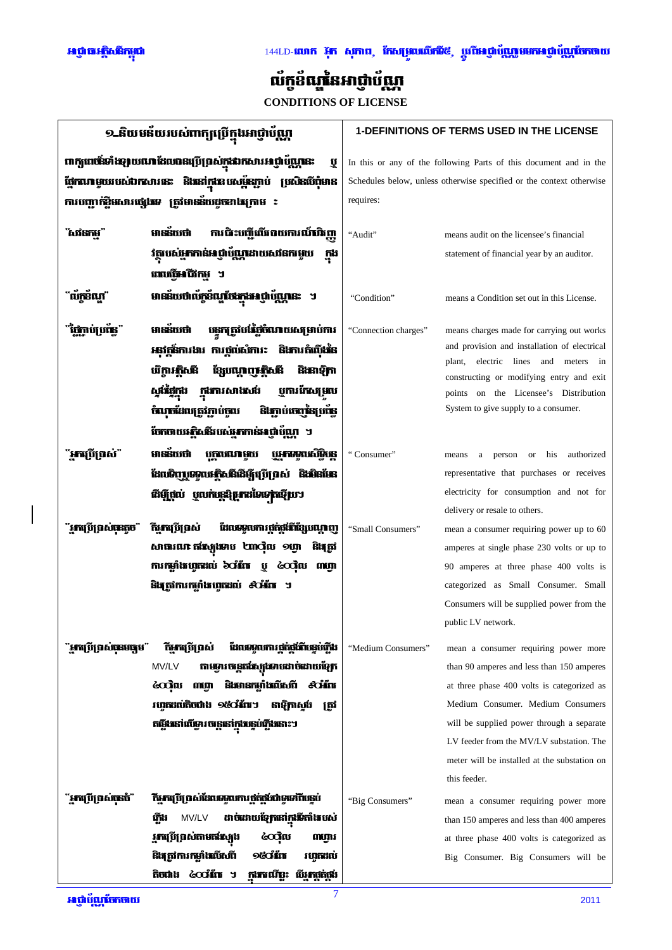# 144LD-**លោក អ៊ុក សុភាព, កែសម្រួលលើកដី**៥, ប្តូរ**ីមេរូថ្នាប័ុណ្ណមមកអេជ្ញាប័ុណ្ណចែកចាយ**



# ល័ក្ខខ័ណ្ឌនៃអាជ្ញាប័ណ្ណ

**CONDITIONS OF LICENSE** 

| ១ និយមន័យរបស់ពាក្យប្រើក្នុងអាជ្ញាប័ណ្ណ                              |                                                                                                     | <b>1-DEFINITIONS OF TERMS USED IN THE LICENSE</b>                    |                                                                                           |
|---------------------------------------------------------------------|-----------------------------------------------------------------------------------------------------|----------------------------------------------------------------------|-------------------------------------------------------------------------------------------|
| ពាក្យពេច័ះទាំងឡបពេរា ដែលបានប្រើប្រាស់ក្នុងរាកសារអាជ្ញាប័ណ្ណនេះ<br>ឬ |                                                                                                     | In this or any of the following Parts of this document and in the    |                                                                                           |
| និងនៅកងខបសម័នភាប់ ប្រសិនបើពំមាន<br>ពែកណាមួយរបស់ជាកសារនេះ            |                                                                                                     | Schedules below, unless otherwise specified or the context otherwise |                                                                                           |
|                                                                     | ការបញ្ជាក់ខ្លឹមសារផ្សេងទេ ត្រូវមានន័យដូចខាងក្រោម ៖                                                  | requires:                                                            |                                                                                           |
|                                                                     |                                                                                                     |                                                                      |                                                                                           |
| សវនកមា                                                              | ការជិះបញ្ជីឈីរពយការណ៍ជិញ្<br>មាននិយថា                                                               | "Audit"                                                              | means audit on the licensee's financial                                                   |
|                                                                     | វត្ថុបស់អ្នកកាន់អាថ្នាប័ណ្ណដោយសវនកម្ទេយ<br>កង                                                       |                                                                      | statement of financial year by an auditor.                                                |
|                                                                     | ពេលវិចអណិតម ។                                                                                       |                                                                      |                                                                                           |
|                                                                     | មានន័យថាល័ក្កខ័ណ្ឌថែងក្នុងអព្ភាប័ណ្ណនេះ                                                             | "Condition"                                                          | means a Condition set out in this License.                                                |
|                                                                     |                                                                                                     |                                                                      |                                                                                           |
|                                                                     | បន្តកត្រូវបង្កែបំណាយសង្រាប់ការ<br>មាននយថា                                                           | "Connection charges"                                                 | means charges made for carrying out works<br>and provision and installation of electrical |
|                                                                     | អនុវត្តន៍ការងារ ការផ្តល់សំភារៈ  និងការតំលើងនៃ                                                       |                                                                      | electric lines and meters in<br>plant,                                                    |
|                                                                     | ឋើការភិសនី<br>ខ្សែបណ្តេញ <b>ភ្និ</b> សនី<br><b>Ŝlisiĝin</b>                                         |                                                                      | constructing or modifying entry and exit                                                  |
|                                                                     | កងការសាងលើ<br>បុការកែសម្រួល<br>សង់រើរើកង                                                            |                                                                      | points on the Licensee's Distribution                                                     |
|                                                                     | និងក្លាប់ចេញនៃប្រព័ន្<br>ចំណុចដែលត្រូវភ្ជាប់ចូល                                                     |                                                                      | System to give supply to a consumer.                                                      |
|                                                                     | ចែកចាយអត្ថិសនីរបស់អ្នកកាន់អាថ្នាំប័ណ្ណ ។                                                            |                                                                      |                                                                                           |
| ` <b>អា</b> រប្រើព្រល់"                                             | មានន័យថា<br><b>WARANG DA</b> IS<br>បុក្កលឈាមួយ                                                      | "Consumer"                                                           | authorized<br>person<br><b>or</b><br>his<br>means<br>a                                    |
|                                                                     | ដែលមិញបុណ្ណបរអ៊ិសនីដើម្បីប្រើប្រាស់ និងមិនមែន                                                       |                                                                      | representative that purchases or receives                                                 |
|                                                                     | ដើម្បីថ្កល់ ឬលក់ច្រុះ <b>ស្រុកដទៃទេ</b> ត្តវិយា                                                     |                                                                      | electricity for consumption and not for                                                   |
|                                                                     |                                                                                                     |                                                                      | delivery or resale to others.                                                             |
| ៍អាប្រើប្រាស់ចុះតូច"                                                | កីអាប្រើប្រាស់<br>ដែលទទួលការផ្គត់ផ្គង់ពីខ្សែបណ្តាញ                                                  | "Small Consumers"                                                    | mean a consumer requiring power up to 60                                                  |
|                                                                     | សាធារណៈ ឥរស្យែងអប ២៣សុំល ១ប្លា<br>និងត្រូវ<br>mingilingani bain y can mm                            |                                                                      | amperes at single phase 230 volts or up to                                                |
|                                                                     | និងត្រូវការកម្លាំងហូតដល់ ៩០អ័រេ ។                                                                   |                                                                      | 90 amperes at three phase 400 volts is<br>categorized as Small Consumer. Small            |
|                                                                     |                                                                                                     |                                                                      | Consumers will be supplied power from the                                                 |
|                                                                     |                                                                                                     |                                                                      | public LV network.                                                                        |
|                                                                     |                                                                                                     |                                                                      |                                                                                           |
| ៍អាវ៉េប៊ីព្រល់ចុងចេកូម"                                             | ិ <b>ច្ឆែក</b> ប្រើប្រាស់<br>ដែលទទួលការ ផ្តត់ផ្លូវែលនេប់ភ្លើង                                       | "Medium Consumers"                                                   | mean a consumer requiring power more                                                      |
|                                                                     | តាមទ្វារ បន្តេតដែប្បដទាបដាច់ដោយខ្សែក<br>MV/LV<br><b>និងមានកម្លាំងលីសពី ៩០អ័ព</b><br><b>ECON MIN</b> |                                                                      | than 90 amperes and less than 150 amperes                                                 |
|                                                                     | វហ្វុតដល់តិចជាង ១៥០អំពែ។ នាឱ្យកាស្តង<br>ត្រវ                                                        |                                                                      | at three phase 400 volts is categorized as<br>Medium Consumer. Medium Consumers           |
|                                                                     | កផ្លែងនៅលើម្នារ ចន្ត្រនៅក្នុងឆ្នេប់ភ្លើងនោះ។                                                        |                                                                      | will be supplied power through a separate                                                 |
|                                                                     |                                                                                                     |                                                                      | LV feeder from the MV/LV substation. The                                                  |
|                                                                     |                                                                                                     |                                                                      | meter will be installed at the substation on                                              |
|                                                                     |                                                                                                     |                                                                      | this feeder.                                                                              |
| ៍ <b>អ្នកប្រើប្រាស់ចុះចំ</b> ំ                                      | ិ <b>អ្នកប្រើប្រាស់ដែលទទួលការផ្តត់ផ្តង់ជាទូទៅពីបន្តប់</b>                                           | "Big Consumers"                                                      | mean a consumer requiring power more                                                      |
|                                                                     | ដាច់ដោយខ្សែកនៅក្នុងើរតាំងបស់<br>MV/LV<br>រីកឹង                                                      |                                                                      | than 150 amperes and less than 400 amperes                                                |
|                                                                     | <b>អ្នកប្រើប្រាស់តាមតង្កែ</b> រុង<br>෬෬ඁ෦ඁ෦<br>ណអារ                                                 |                                                                      | at three phase 400 volts is categorized as                                                |
|                                                                     | <b>9 četin</b><br>និងត្រូវការកម្លាំងលីសពី<br>វហ្កុកដល់                                              |                                                                      | Big Consumer. Big Consumers will be                                                       |
|                                                                     | ້ຕິຫີດຳນີ້ ໄດ້ວ່າ ກໍຕິກຳ<br>ក្នុងករណីខ្លះ បើអ្នកផ្តត់ផ្តង់                                          |                                                                      |                                                                                           |

 $\overline{7}$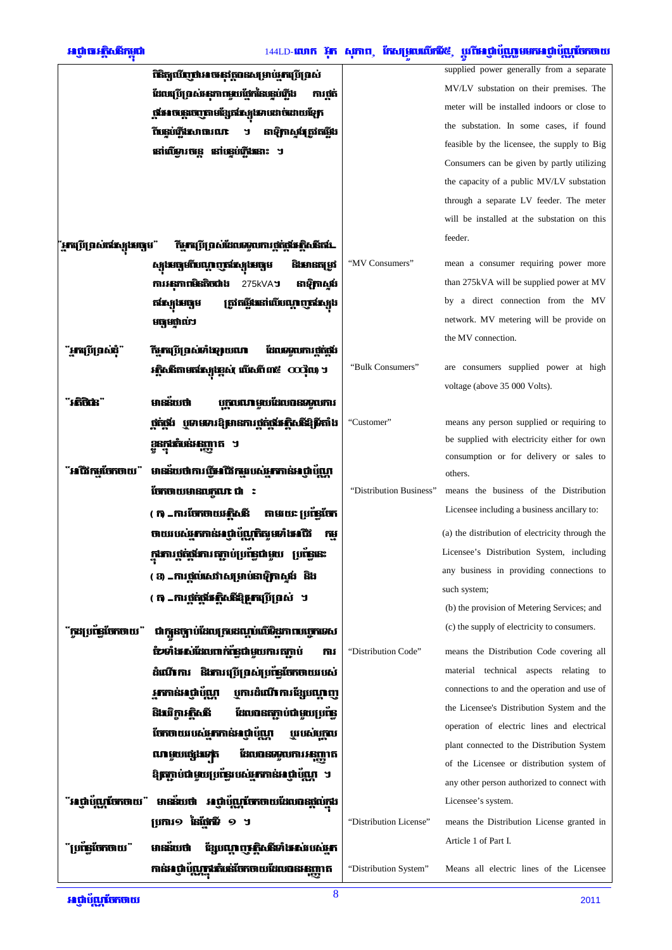# អព្វាធរត្តិសតិកម្ពុជា

# 144LD-**លោក រ៉ុក សុភាព, កែសម្រាចលើកមី៥, ប្តូរពីអេជ្ញាប័យ្ណក្លួមមកអេជ្ញាប័យ្ណកើតចាយ**

|                                                                                                  | <b>ពិនិត្យបើញថាអាចអនុវត្តបានសម្រាប់អ្នកប្រើប្រាស់</b>         |                         | supplied power generally from a separate        |
|--------------------------------------------------------------------------------------------------|---------------------------------------------------------------|-------------------------|-------------------------------------------------|
|                                                                                                  | ដែលប្រើប្រាស់អនុភាពមួយផ្នែកនៃបន្ទប់ភ្លើង<br>ការថ្នក់          |                         | MV/LV substation on their premises. The         |
|                                                                                                  | ផ្តើអោចន្តេចេញតាមខ្សែតដែរ្យងោបដាច់ដោយខ្សែក                    |                         | meter will be installed indoors or close to     |
|                                                                                                  | នាឡិកាស្តង់ត្រូវតម្លីង<br>ົ້ານ <u>ຮູບເກີ</u> ປະກາດາເຕກ<br>ิ์ว |                         | the substation. In some cases, if found         |
|                                                                                                  | នៅលើមារចន្តេ នៅបន្ទប់ភ្លើងនោះ ។                               |                         | feasible by the licensee, the supply to Big     |
|                                                                                                  |                                                               |                         | Consumers can be given by partly utilizing      |
|                                                                                                  |                                                               |                         | the capacity of a public MV/LV substation       |
|                                                                                                  |                                                               |                         | through a separate LV feeder. The meter         |
|                                                                                                  |                                                               |                         | will be installed at the substation on this     |
| <b>្អកប្រើប្រាស់តាំងស្យូងមធ្យម</b> ៉<br>កីម្មកប្រើប្រាស់ដែលទទួលការផ្តត់ផ្តង់អត្តិសនីតម៉ <b>្</b> |                                                               |                         | feeder.                                         |
|                                                                                                  | ស្សងមធ្យមពីបណ្តេញតង់ស្យុងមធ្យម<br>និងមានតម្រូវ                | "MV Consumers"          | mean a consumer requiring power more            |
|                                                                                                  | ការអនុភាពមិនតិចជាង<br>នាឡិកាសូអែ<br>275kVAJ                   |                         | than 275kVA will be supplied power at MV        |
|                                                                                                  | ត្រូវតម្លីវេនៅលើបណ្តេញតវែស្សង<br>តងែរង្រមចុម                  |                         | by a direct connection from the MV              |
|                                                                                                  | មធ្យមផ្ទាល់ៗ                                                  |                         | network. MV metering will be provide on         |
|                                                                                                  | <u>កីអាវប្រើប្រាស់ទាំងទ្បាយណា</u><br>ដែលទទួលការថ្មត់ថ្មម៉     |                         | the MV connection.                              |
| ៍អាវើប្រើលើធ្វើ                                                                                  | អគ្គិសនីតាមតងែរ្យអន្តស់ លើសពី៣៥ $\cos$ ល                      | "Bulk Consumers"        | are consumers supplied power at high            |
|                                                                                                  |                                                               |                         | voltage (above 35 000 Volts).                   |
|                                                                                                  | មានន័យថា<br>បុក្កលណាមួយដែលបានទទួលការ                          |                         |                                                 |
|                                                                                                  |                                                               | "Customer"              | means any person supplied or requiring to       |
|                                                                                                  | ខនក <b>ងកំបន់អនុញ្ញាត</b> ។                                   |                         | be supplied with electricity either for own     |
|                                                                                                  |                                                               |                         | consumption or for delivery or sales to         |
|                                                                                                  | ជិវកមចែកចាយ" មានន័យថាការធ្វើអជិវកម្មរបស់អ្នកកាន់អណ្តំហ្គ្រែព  |                         | others.                                         |
|                                                                                                  | ចែកចាយមានលក្ខណៈ ជា   :                                        | "Distribution Business" | means the business of the Distribution          |
|                                                                                                  | ( ក) _ការចែកចាយអភិសនី<br>តាមរយៈ ប្រព័ន្ធចែក                   |                         | Licensee including a business ancillary to:     |
|                                                                                                  | ចាយរបស់អ្នកកាន់អាជ្ញាប័ណ្ណកិត្យមហំងារជីវ<br>កម                |                         | (a) the distribution of electricity through the |
|                                                                                                  | <b>ក្កដការ ថ្លត់ថ្លូវការ តក្កាប់ប្រព័ន្ធជាមួយ</b>             |                         | Licensee's Distribution System, including       |
|                                                                                                  | ( 3) _ការថ្កល់សេវាសង្រាប់នាឡិកាស្តង់ និង                      |                         | any business in providing connections to        |
|                                                                                                  | ( ក) _ការផ្តត់ផ្លូវែរ-ក្តិសនីឱ្យអារប្រ័ុក្កស់ ។               |                         | such system;                                    |
|                                                                                                  |                                                               |                         | (b) the provision of Metering Services; and     |
| <b>ក្រះប្រព័ន្ធចែកចាយ</b> "                                                                      | ជាក្យួនច្បាប់ដែលប្រាបដណ្តប់លើទិដ្ឋភាពបច្ចេកទេស                |                         | (c) the supply of electricity to consumers.     |
|                                                                                                  | ប៉ាម៉ាំង សំដែលពាក់ផ្លែជាមួយការតក្លាប់<br>ការ                  | "Distribution Code"     | means the Distribution Code covering all        |
|                                                                                                  | ដំណើការ និងការប្រើប្រាស់ប្រព័ន្ធចែកចាយរបស់                    |                         | material technical aspects relating to          |
|                                                                                                  | <u>អាកាន់អាជ្ញាប័ណ្ឌ</u><br>បូការដំណើតារខ្សែបណ្តេញ            |                         | connections to and the operation and use of     |
|                                                                                                  | ដែលបានតភ្ជាប់ជាមួយប្រព័ន្ធ<br>និងវើការភ្និសនី                 |                         | the Licensee's Distribution System and the      |
|                                                                                                  | បែកចាយរបស់អ្នកកាន់អាជ្ញាប័ណ្ណ<br>បុរបស់បកល                    |                         | operation of electric lines and electrical      |
|                                                                                                  | ដែលបានទទួលការអនុញ្ញាត<br>ណមួយផ្សេងទេត                         |                         | plant connected to the Distribution System      |
|                                                                                                  | ឱ្យចក្តាប់ជាមួយប្រមែនបស់អ្នកកាន់អាជ្ញាប័ណ្ណ ។                 |                         | of the Licensee or distribution system of       |
|                                                                                                  |                                                               |                         | any other person authorized to connect with     |
|                                                                                                  | អេជ្ញាប័ណ្ណចែកចាយ" មានន័យថា អេជ្ញាប័ណ្ណចែកចាយដែលបានផ្តល់ក្នុង |                         | Licensee's system.                              |
|                                                                                                  | ប្រការ១ នៃផែកមិ ១ ។                                           | "Distribution License"  | means the Distribution License granted in       |
| <b>ព្រៃនៃចែកចាយ</b> "                                                                            | ខ្សែបណ្តេញ ត្តិសនីទាំង សបស់អ្នក<br>មាននិយថា                   |                         | Article 1 of Part I.                            |
|                                                                                                  | កាន់អាថ្នាប័ណ្ណក្នុងកំបន់ចែកចាយដែលបានអនុញ្ញាត                 | "Distribution System"   | Means all electric lines of the Licensee        |
|                                                                                                  |                                                               |                         |                                                 |

 $\overline{8}$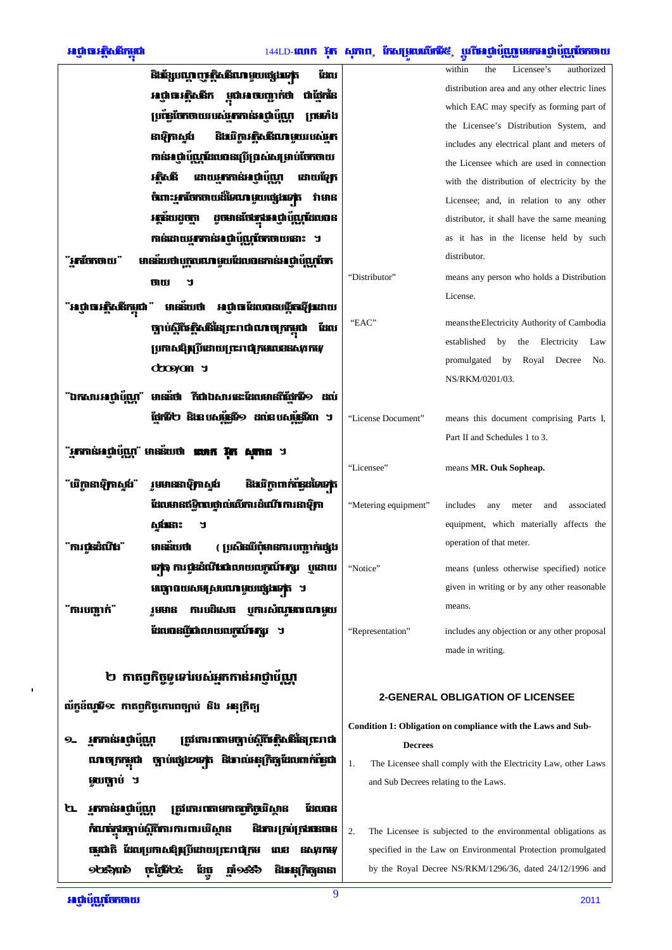# 144LD-**លោក រ៉ុក សុភាព, កែសម្រួលលើកដី៥, ប្តូរីបែនថ្នាំប័<b>ណ្ណមមកអេថ្នាំប័ណ្ណចែកចាយ**

|                                                                                | និងខ្សែបណ្តេញអត្ថិសនីណាមួយផ្សេងទេត<br>ដែល                        |                                                                      | within<br>Licensee's<br>the<br>authorized                     |
|--------------------------------------------------------------------------------|------------------------------------------------------------------|----------------------------------------------------------------------|---------------------------------------------------------------|
|                                                                                | អាជ្ញាធរ-គ្គិសនីក ម្ពុជាអាចបញ្ជាក់ថា<br>ជាញែកនៃ                  |                                                                      | distribution area and any other electric lines                |
|                                                                                | ប្រពៃណីចាយរបស់ <b>អ្នកកាន់អាជ្ញាប័</b> ណ្ណ<br>ព្រមទាំង           |                                                                      | which EAC may specify as forming part of                      |
|                                                                                | និងវិវិកាអភិសនីណាមួយរបស់អ្នក<br>នាទិ្យកាស្ទង់                    |                                                                      | the Licensee's Distribution System, and                       |
|                                                                                | កាន់អេថ្លាប័ណ្ណដែលបានប្រើប្រាស់សម្រាប់បែកចាយ                     |                                                                      | includes any electrical plant and meters of                   |
|                                                                                |                                                                  |                                                                      | the Licensee which are used in connection                     |
|                                                                                | ដោយអ្នកកាន់អាជ្ញាប័ណ្ណ<br>រតិសនី<br>ដោយទ្បែក                     |                                                                      | with the distribution of electricity by the                   |
|                                                                                | ចំពោះ <b>អ្នកចែកថាយដ៏ទៃណា មួយផ្សេងទ</b> ត្ត<br>វាមាន             |                                                                      | Licensee; and, in relation to any other                       |
|                                                                                | ដូចមានថែងក្នុងអាជ្ញាប័ណ្ណដែលបាន<br><b>FEBILITA</b>               |                                                                      | distributor, it shall have the same meaning                   |
|                                                                                | កាន់ដោយអ្នកកាន់អាជ្ញាប័ណ្ណចែកចាយនោះ ។                            |                                                                      | as it has in the license held by such                         |
| <b>អាចែកចាយ</b> "                                                              | មានន័យថាបុក្កលណាមួយដែលបានកាន់អាជ្ញាប័ណ្ណបែក                      |                                                                      | distributor.                                                  |
|                                                                                | ថាយ<br>ิ์ว                                                       | "Distributor"                                                        | means any person who holds a Distribution                     |
| អែជាធារក្តីសងីកម្ពុជា "                                                        | មានន័យថា អេជ្ញាធាដែលបានបង្កីតាឡើងដោយ                             |                                                                      | License.                                                      |
|                                                                                | ច្បាប់ស្តីពីអត្តិសនីនៃព្រះរាជាណាចក្រកម្ពុជា<br>ដែល               | "EAC"                                                                | means the Electricity Authority of Cambodia                   |
|                                                                                | ប្រកាសឱ្យប្រើដោយព្រះរាជ្យកមលេខនសូវកម្                            |                                                                      | established<br>by<br>the<br>Electricity<br>Law                |
|                                                                                |                                                                  |                                                                      | promulgated<br>Royal<br>by<br>Decree<br>No.                   |
|                                                                                | t mokeodo                                                        |                                                                      | NS/RKM/0201/03.                                               |
| ៏ឯកសារអាជ្ញាប័ <u>ណ្ឌ</u> "                                                    | មានន៍ថា ក៏ជាឯសារនេះដែលមានពីថែកទី១<br>ដល់                         |                                                                      |                                                               |
|                                                                                | <b>លែកទី២ និងឧបសម័នទី១ ដល់ឧបសម័នទី៣ ។</b>                        | "License Document"                                                   | means this document comprising Parts I,                       |
|                                                                                |                                                                  |                                                                      | Part II and Schedules 1 to 3.                                 |
|                                                                                | រុកកាន់អណ្តំ <u>ឈ្មោ</u> " មានន័យថា <b>លោក  រ៉ុក  សុកាព</b> ។    |                                                                      |                                                               |
| ៉បើកានា <b>ឱ្</b> កាស្តង់"                                                     | និងវិវត្តាពាក់ផ្អែងទែទៅត<br>រួមមាននា <b>ឱ្</b> កាស្តង            | "Licensee"                                                           | means MR. Ouk Sopheap.                                        |
|                                                                                |                                                                  |                                                                      |                                                               |
|                                                                                | ដែលមានឥទ្ធិពេលថ្វាល់លើការដំណើរ ការនាឡិកា                         | "Metering equipment"                                                 | associated<br>includes<br>any<br>meter<br>and                 |
|                                                                                | ស្ត្រីនោះ<br>ิ์ว                                                 |                                                                      | equipment, which materially affects the                       |
| ការជនដណ                                                                        | មានន័យថា<br>( ប្រសិនបើពំមានការបញ្ជាក់ផ្សេង                       |                                                                      | operation of that meter.                                      |
|                                                                                |                                                                  |                                                                      | means (unless otherwise specified) notice                     |
|                                                                                | មធ្យោធយសមស្របណាមួយផ្សេងទេត្រ ។                                   |                                                                      | given in writing or by any other reasonable                   |
| "ការបញ្ចាក់"                                                                   | ការបដិសេធ បូការសំណូមពណាមួយ<br>វមមាន                              |                                                                      | means.                                                        |
|                                                                                | ដែលបានថ្នីជាលាយលក្ខណ៍ <b>អ</b> ស្ករ ។                            | "Representation"                                                     | includes any objection or any other proposal                  |
|                                                                                |                                                                  |                                                                      | made in writing.                                              |
|                                                                                |                                                                  |                                                                      |                                                               |
| ២ កាតព្វកិច្ចទូទេរេបស់អ្នកកាន់អាជ្ញាប័ណ្ណ                                      |                                                                  |                                                                      | 2-GENERAL OBLIGATION OF LICENSEE                              |
| ល័ក្ខខ័ណ្ឌមី១៖ កាតព្វកិច្ចកោរពច្បាប់ និង អនុក្រិត្យ                            |                                                                  |                                                                      |                                                               |
|                                                                                |                                                                  | Condition 1: Obligation on compliance with the Laws and Sub-         |                                                               |
| <b>អ្នកកាន់អ</b> ជ្ញាប័ណ្ណ<br>ត្រូវកោរពតាមច្បាប់ស្តីពីអត្ថិសនីនៃព្រះរាជា<br>9- |                                                                  | <b>Decrees</b>                                                       |                                                               |
| ណចក្រកម្ពុជា ច្បាប់ផ្សេង១ទេត្រ និងរាល់អនុក្រិត្យដែលពាក់ឆ្លែជា                  |                                                                  | 1.<br>The Licensee shall comply with the Electricity Law, other Laws |                                                               |
| មួយច្បាប់ ។                                                                    |                                                                  | and Sub Decrees relating to the Laws.                                |                                                               |
| <b>អ្នកកាន់អ</b> ជ្ញាប័ណ្ណ<br>ュ                                                | ត្រូវកោរពតាមកាតព្វកិច្ចបរិស្ថាន<br>ដែល៣ន                         |                                                                      |                                                               |
|                                                                                | និងការ ក្រប់ក្រងនេះបាន<br>កំលក់ក្នុងច្បាប់ស្តីពីការការពារបើស្ថាន | 2.                                                                   | The Licensee is subjected to the environmental obligations as |
|                                                                                | ធ្មេជាតិ ដែលប្រកាសឱ្យប្រើដោយព្រះរាជុកម<br>លេខ<br><b>SLI/I NU</b> |                                                                      | specified in the Law on Environmental Protection promulgated  |
| O <sub>2</sub>                                                                 | <b>THE</b><br>និងស្នេកិតុនោនា                                    |                                                                      | by the Royal Decree NS/RKM/1296/36, dated 24/12/1996 and      |
|                                                                                | ខែចុ                                                             |                                                                      |                                                               |

j.

 $\overline{9}$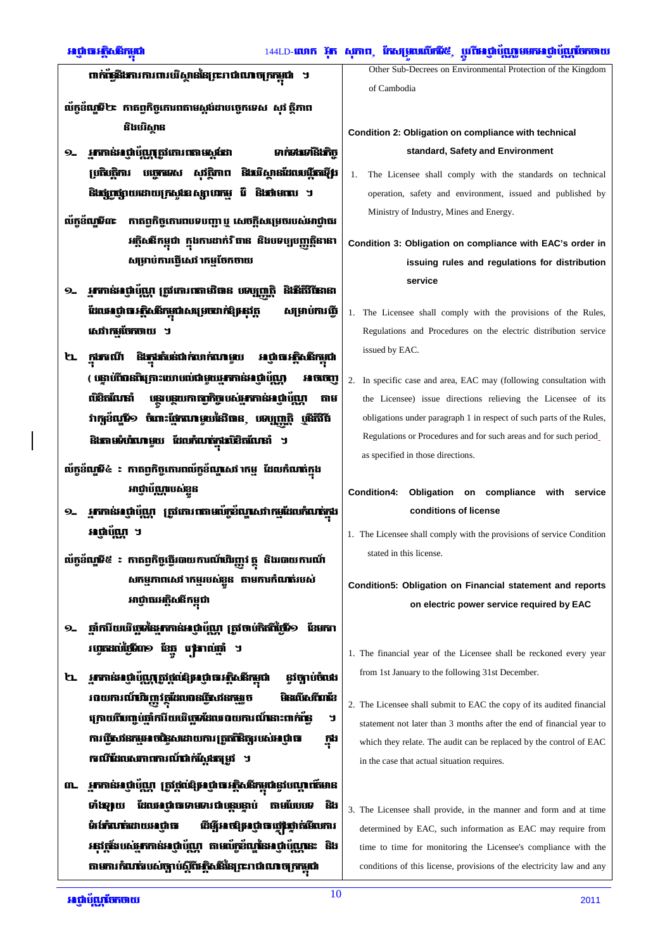- ពាក់ផ្សែងការការពារបើស្ថាននៃព្រះរាជាណាចក្រកម្ពុជា ។
- ល័ក្ខខ័ណ្ឌទី២៖ កាតព្វកិច្ចកោរពតាមស្តម៉ដាបច្ចេកទេស សុវ ត្ថិភាព និងបរិស្ថាន
- 9\_ អ្នកកាន់អណ្តំប័ណ្ណតូវកោរពតាមស្តូវែះរា ទាក់ទងទៅនិងកិច្ ប្រតិបត្តិការ បច្ចេកទេស សុវត្ថិភាព និងវើស្ថានដែលបង្កីតឡើង និងផ្សព្វផ្សាយដោយក្រសួងឧស្សាហកម្ម វ៉ៃ និងថាមពល ។
- ល័ក្ខខ័ណ្ឌទី៣៖ កាតពុកិច្ចកោរពបទបញ្ជា ឬ សេចក្តីសម្រេចរបស់អាជ្ញាធរ អគ្គិសនីកម្ពុជា ក្នុងការដាក់វិធាន និងបទប្បបញ្ញត្តិនានា សម្រាប់ការធ្វើសេវ 1កម្មចែកចាយ
- **Ĝiŝñŭ**sisi ដែលអព្វាធរត្តិសតិកម្ពុជាសម្រេចរាក់ឱ្យអុវត្ត សម្រាប់ការធ្វើ សេវាកម្មចែកចាយ ។
- ២ ក្តូវកាណី និងក្តុងតំបន់ជាក់លាក់ណាមួយ អណ្តូបារភ្និសនីកម្ពុជា ( បន្ទាប់ពីបានពិត្រោះយោបល់ជាមួយអ្នកកាន់អាជ្ញាប័ណ្ណ) អចច្បា លិខិតលែនាំ បន្ថយនុយកាតព្វកិច្ចបស់អ្នកកាន់អាជ្ញាប័ណ្ណា តាម វាក្យខ័ណ្ឌិ១ ចំពោះផ្នែកណាមួយនៃវិធាន បទប្បញ្ញត្តិ បូនីតិវិធី និងតាមទំហំលាមួយ ដែលកំណត់ក្នុងមិនិតលែនាំ ។
- ល័ក្តខ័ណ្ឌមី៤ ៖ កាតព្វកិច្ចកោរពល័ក្តខ័ណ្ឌសេវ កេម្ម ដែលកំណត់ក្នុង អាជ្ញាប័<mark>ណ្ណ</mark>បស់ខ្លួន
- ១... អ្នកកាន់អញ្ចាំប័ណ្ណ ត្រូវកោរពតាមប័ក្ខខ័ណ្ឌសេវាកម្មដែលកំណត់ក្នុង អណ្តំណែ្ណ ។
- ល័ក្ខខ័ណ្ឌមី៥ ៖ កាតព្វកិច្ចធ្វើរបាយការណ៍ឈិញ្ញវ ត្ថុ និងរបាយការណ៍ សកម្មភាពសេវ ាកម្មរបស់ខ្លួន តាមការកំណត់របស់ អាជ្ញាធរអគ្គិសនីកម្ពុជា
- ១- ឆ្នាំការិយបើច្ចេមនៃអ្នកកាន់អព្ភាប័ណ្ណ ត្រូវចាប់កិត្តិស្វ៊ែមី១ ខែមករា វហ្គតដល់ថ្មីវិហា១ ខែធ្នូ វេង្គរាល់ឆ្នាំ ។
- ២ អ្នកកាន់អង្គាប់ឈ្មួត្រូវផ្តល់ឱ្យអង្គាធអគ្គិសនីកម្ពុជា នវិច្បាប់ចំលើ រពយការណ៍ហិរញ្ញវត្ថុដែលពន្ធវិធីបវនកម្មរួច **Gentionimia** ក្រោយពីហេពូប់ឆ្នាំការីយបើច្រេះដែលរាលកោរណ៍នោះពាក់ព័ន្ ับ ការធ្វើសេវីនកម្មអាចផ្ទៃសេដោយការត្រួតពិនិត្យរបស់អាជ្ញាធា កូង ករណីដែលសភាពការណ៍ជាក់ស្តែងតម្រូវ ។
- ៣. អ្នកកាន់អង្គាប់ឈ្មា ត្រូវផ្តល់ឱ្យអង្គាធអគ្គិសនីកម្ពុជានូវបណ្តារត៍មាន ទាំងទ្យាយ ដែលអាជ្ញាធាទាមទារជាបន្តចន្ទាប់ តាមបែបទេ និង ទំរង់កំណត់ដោយអាជាធា ដីម្មីអាចឱ្យអាជ្ញាធាញ៉េញក់មើលការ រនូវក្តីរបស់អ្នកកាន់អព្ភប់លោ តាមលំភ្លេះឈ្មោះអព្ភប់ល្អោនះ និង តាមការកំណត់របស់ច្បាប់ស្តីពីអត្តិសតីនៃព្រះរាជាណាចក្រកម្ពុជា

Other Sub-Decrees on Environmental Protection of the Kingdom of Cambodia

## Condition 2: Obligation on compliance with technical standard, Safety and Environment

1. The Licensee shall comply with the standards on technical operation, safety and environment, issued and published by Ministry of Industry, Mines and Energy.

Condition 3: Obligation on compliance with EAC's order in issuing rules and regulations for distribution service

- 1. The Licensee shall comply with the provisions of the Rules, Regulations and Procedures on the electric distribution service issued by EAC.
- 2. In specific case and area, EAC may (following consultation with the Licensee) issue directions relieving the Licensee of its obligations under paragraph 1 in respect of such parts of the Rules, Regulations or Procedures and for such areas and for such period\_ as specified in those directions.

Condition4: Obligation on compliance with service conditions of license

1. The Licensee shall comply with the provisions of service Condition stated in this license

## Condition5: Obligation on Financial statement and reports on electric power service required by EAC

- 1. The financial year of the Licensee shall be reckoned every year from 1st January to the following 31st December.
- 2. The Licensee shall submit to EAC the copy of its audited financial statement not later than 3 months after the end of financial year to which they relate. The audit can be replaced by the control of EAC in the case that actual situation requires.
- 3. The Licensee shall provide, in the manner and form and at time determined by EAC, such information as EAC may require from time to time for monitoring the Licensee's compliance with the conditions of this license, provisions of the electricity law and any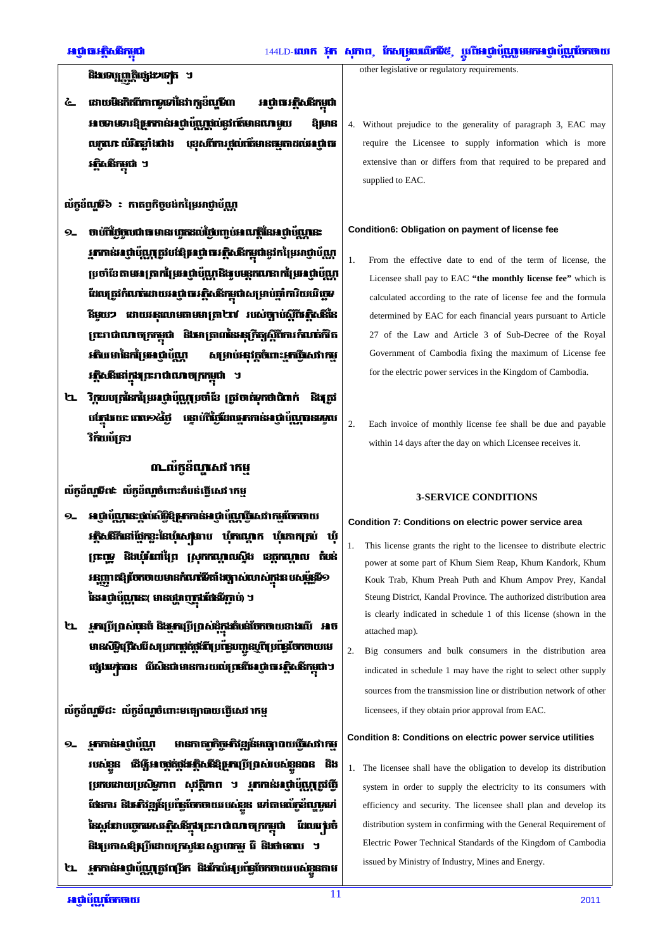## និងទេបុញ្ញតិផ្សេងបទេត ។

៤ ដោយមិនកិត្តិ**ការាណូទាំ**នៃវាក្យខ័ណ្ឌិ៍ហ អេជ្ញាធរអត្តិសតិកម្ពុជា អាចអាមអារន្តក្រភកាន់អាជាបំណេថលនៅកើមានណាមយ ឱ្យមាន លកណ លំរិនទាំងជាង បុខសពីការថល់ព័ត៌មានផមតាដល់អាជាធា រត្តិសតិកម្ពុជា ។

## ល័ក្តខ័ណ្ឌទី៦ **: កាតព្វកិច្ចបង់ក**ម្រៃអាជ្ញាប័ណ្ណ

- 9\_ ចាប់ពីថ្ងៃចូលជាធមានរហូតដល់ថ្ងៃពោ្ញប់អាណត្តិនៃអាជ្ញាប័ណ្ណនេះ **អ្នកកាន់អាថ្នាំប័ណ្ណត្រូវបង់ឱ្យអាថ្នាំចេរ** វិនិត្យជានូវកម្រៃអាថ្នាប័ណ្ណ ប្រចាំខែតាមអេត្រាក់ប្រែអជ្ញាប័ណ្ណនិងបមនកណតាក់ប្រែអជ្ញាប័ណ្ណ ដែលត្រូវកំណត់ដោយអណ្តូធអគ្គិសនីកម្ពុជាសម្រាប់ផ្តាំការិយបើច្ចេទ នីមួយៗ ដោយអនុលោមតាមមាត្រា២៧ របស់ច្បាប់ស្តីពីអត្ថិសនីនៃ ព្រះរាជាណាចក្រកម្ពុជា និងមាត្រា៣នៃអនុក្រិត្តស្តីពីការកំណត់កិត *អ*ភិបរ មានៃកន្តៃ មេអាជាបំណ សម្រាប់អនុវត្តចំពោះអ្នកច្នេសវាកម្ អត្ថិសនីនៅក្នុងព្រះរាជាណាចក្រកម្ពុជា ។
- ២. វិក្កយបត្រនៃកម្រៃអណ្តំប័ណ្ណប្រចាំខែ ត្រូវចាត់ទុកថាជិពាក់ និងត្រូវ <u>นสามนะ แนวอดี้ที่ แลนที่นี้มีมนสาทล่าง ที่นั้นทลออน</u> **វិក័យប័**ត្រា

# ៣-ល័ក្តខ័ណ្ឌសេវ៉ាកម្ម

ល័ក្ខខ័ណ្ឌទី៧៖ ល័ក្ខខ័ណ្ឌចំពោះតំបន់ធ្វើសេវ 1កម្ម

- អាជ្ញាប័ណ្ណនេះផ្ដល់សិទ្ធិឱ្យអាកាន់អាជ្ញាប័ណ្ណពិសេវាកម្មបែកចាយ  $9-$ អត្ថិសនីក៏នៅផ្នែកខ្លះនៃឃុំសេង្រាប ឃុំកណ្ដេក ឃុំភោកត្រប់ ឃុំ ព្រះព្រូ និងបុំអំពាំព្រៃ ស្រុកកណ្ដាលស្ទឹង ខេត្តកណ្ដាល តំបន់ អនុញ្ញាតឱ្យចែកចាយមានកំណត់ទីតាំងច្បាស់លាស់ក្នុងឧបសម្ព័ន្ធទី១ នៃអេជ្ញាប័ណ្ណនេះ មានបង្ហាញក្លារថែនទីភ្ជាប់) ។
- ២ អ្នកប្រើប្រាស់នេធំ និងអាប្រើប្រាស់ដុំក្នុងតំប៉េនបែកចាយខាងលី អាច មានសិទ្ធិជ្រើសរើសយោជ្ញត់ផ្លូវពីប្រើធ្វើបញ្ជូនបូពីប្រព័ន្ធចែកចាយមេ ផ្សេងទត្តិបាន បើសិនជាមានការយល់ប្រមើអេជ្ញាធរអត្ថិសនីកម្ពុជា។

## ល័កខ័ណ្ឌទី៨៖ ល័កខ័ណ្ឌចំពោះមធេក្របាយពើសេវ 1កម

- 9. អ្នកកាន់អាជ្ញាប័<mark>ណ្</mark>ត មានកាតព្វកិច្ចអ៊ាំវឌ្ឍន៍មធ្យោបាយធ្វើសេវាកម្ របស់ខ្លួន ជីឡើរាចថ្កច្កែវែរភ្និសនីឱ្យអាប្រើប្រាស់របស់ខ្លួនបាន និង ប្រកបដោយប្រសិទ្ធភាព សុវត្ថិភាព ។ អ្នកកាន់អាជ្ញាប័ណ្ណតូវើធ្វើ ផែនការ និងអភិវឌ្ឍន៍ប្រព័ន្ធចែកចាយរបស់ខ្លួន ទៅតាមល័ក្ខខ័ណ្ឌទូទៅ នៃស្តងោបច្ចេកទេសអគ្គិសនីក្នុងព្រះរាជាណាចក្រកម្ពុជា ដែលប្រាំចំ និងប្រកាសឱ្យជ្រើដោយក្រសួងខស្សាហកម្ម រ៉ៃ និងថាមពល ។
- ២. អ្នកកាន់អញ្ចាំប័ណ្ណត្រូវព្រើក និងកែប៉ែអូបន្លែចែកចាយរបស់ខ្លួនតាម

other legislative or regulatory requirements.

4. Without prejudice to the generality of paragraph 3, EAC may require the Licensee to supply information which is more extensive than or differs from that required to be prepared and supplied to EAC.

#### Condition6: Obligation on payment of license fee

- $1.$ From the effective date to end of the term of license, the Licensee shall pay to EAC "the monthly license fee" which is calculated according to the rate of license fee and the formula determined by EAC for each financial years pursuant to Article 27 of the Law and Article 3 of Sub-Decree of the Royal Government of Cambodia fixing the maximum of License fee for the electric power services in the Kingdom of Cambodia.
- $\overline{2}$ . Each invoice of monthly license fee shall be due and payable within 14 days after the day on which Licensee receives it.

### **3-SERVICE CONDITIONS**

#### Condition 7: Conditions on electric power service area

- This license grants the right to the licensee to distribute electric power at some part of Khum Siem Reap, Khum Kandork, Khum Kouk Trab, Khum Preah Puth and Khum Ampov Prey, Kandal Steung District, Kandal Province. The authorized distribution area is clearly indicated in schedule 1 of this license (shown in the attached map).
- $2.$ Big consumers and bulk consumers in the distribution area indicated in schedule 1 may have the right to select other supply sources from the transmission line or distribution network of other licensees, if they obtain prior approval from EAC.

#### Condition 8: Conditions on electric power service utilities

1. The licensee shall have the obligation to develop its distribution system in order to supply the electricity to its consumers with efficiency and security. The licensee shall plan and develop its distribution system in confirming with the General Requirement of Electric Power Technical Standards of the Kingdom of Cambodia issued by Ministry of Industry, Mines and Energy.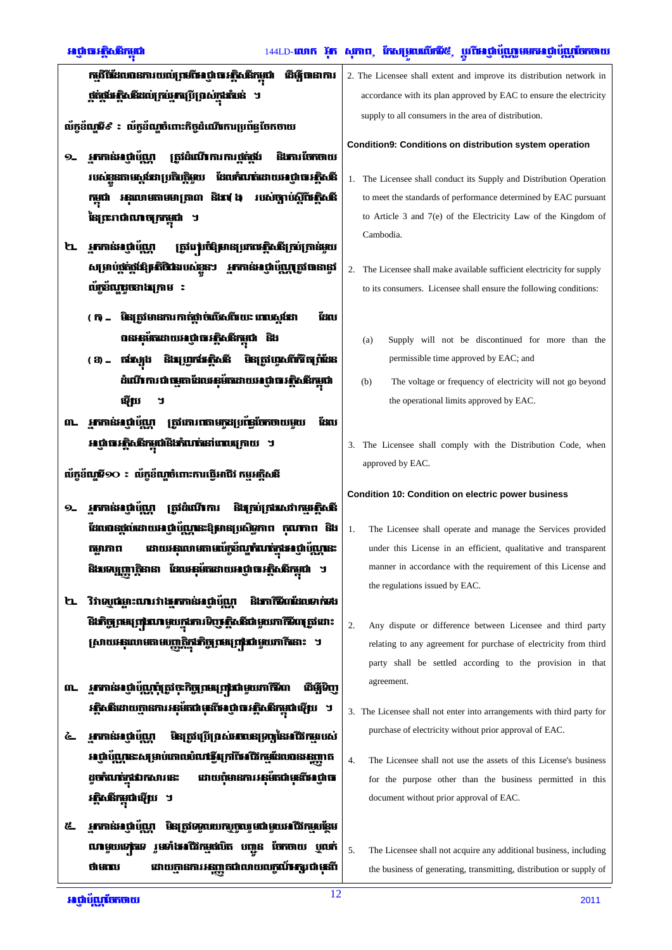| កម្មវិធីដែលបានការយល់ព្រមពីអេញដោរភ្និសនីកម្ពុជា ដើម្បីបានាការ          |  |
|-----------------------------------------------------------------------|--|
| <b>្តត់ផ្តង់អគ្គិសនីដល់ក្រប់អ្នកប្រើប្រាស់ក្នុ<del>ងព</del>ំបន់ ។</b> |  |

ល័ក្តខ័ណ្ឌមី៩ ៖ ល័ក្តខ័ណ្ឌចំពោះកិច្ចដំណើរការប្រព័ន្ធចែកចាយ

- 9. អ្នកកាន់អាជ្ញាប័<mark>យ</mark>ា ស្រីដំណើការការថ្មត់ថ្មីដ និងការចែកចាយ របស់ខ្លួនតាមស្តង់ពេល្រតិបត្តិមួយ ដែលកំណត់ដោយអាជ្ញាធរអត្ថិសនី កម្ពុជា អនុលោមតាមមាត្រា៣ និង៧ ៦ របស់ច្បាប់ស្តីពីអត្ថិសនី នៃព្រះរាជាណាចក្រកម្ពុជា
- ២ អ្នកកាន់អេជ្ញាប័ណ្ណ ត្រូវប**ប់**បំឱ្យមានប្រកបស្ថិសនីត្រប់ត្រាន់មួយ សម្រាប់ផ្គត់ផ្គាំដ៏អូអតិថិដេរបស់ខ្លួនៗ អ្នកកាន់អេជ្ញាប័ណ្ណត្រូវបាននូវ លំភ្នំពេញនោងក្រោម :
	- ( ក) \_ មិន្យ ជាមានការ កាត់ថា ចំលើសពីវយះ ពេលសង់ដា ដែល ០នអនុម័តដោយអណ្តិធអត្ថិសនីកម្ពុជា និង
	- ( 3) = តាំស្យុង និងច្រេកាំអគ្គិសនី មិនត្រូវហូសពីកិរិតព្រំដែន ដំណើ ការ ជា ផ្សេកា ដែលអនុម័តដោយអាជ្ញា ចេ អត្ថិសនីកម្ពុជា ណ្តើយ
- ៣. អ្នកកាន់អាជ្ញាយ័ណ្ណ ត្រូវកោរពតាមក្នុងប្រព័ន្ធចែកចាយមួយ ដែល អេជ្ញាធរ-ភ្និសនីកម្ពុជានិងកំណត់នៅពេលក្រោយ ។

ល័ក្ខខ័ណ្ឌមី១O ៖ ល័ក្ខខ័ណ្ឌចំពោះការធ្វើអាជីវ កម្មអគ្គិសនី

- 9. អាកាន់អបាំយោ ត្រូវដំណើការ និងក្រប់ក្រអស់វាកម្មអ៊ិសនី ដែលបានផ្តល់ដោយអាជ្ញាប័ណ្ណនេះឱ្យមានប្រសិទ្ធភាព កុលាកាព និង ដោយអនុលោមតាមល័ក្ខខ័ណ្ឌកំលត់ក្នុងអាថ្នាប័ណ្ណនេះ តម្លាភាព និងទេបញ្ញាកិនានា ដែលអនុម័តដោយអណ្តិធរតិ្ថិសនីកម្ពុជា ។
- ២ វិវាទបូលនោះណេរវា<del>ងរក</del>កាន់អជាប័ណ **ŜUM TRANISLAS FISS** ិ**ងកិច្ចព្រមព្រៀរហេ**មួយក្នុងការទិញ ភ្និសនីជាមួយភាកិទិហត្រូវដោះ ស្រាយអនុលោមតាមបញ្ញត្តិកុង្រាំថ្មព្រមព្រៃជាមួយរកកីនោះ ។
- ៣... អ្នកកាន់អេជ្ញាប័ណ្ណពុំត្រូវចុះកិច្ចព្រមព្រៅជាមួយភាកិមិល ติต์ติก រភ្និសនីដោយក្លានការអនុម័តជាមុនពីអាជ្ញាធរភ្និសនីកម្ពុជាឡើយ ។
- ៤ អ្នកកាន់អាជ្ញាប័ណ្ណ មិនត្រូវប្រើប្រាស់អាធានប្រកួតនៃអាជីវកម្មរបស់ អព្ភប័ណ្ណនេះសម្រាប់កោលបំណង្ខឹមក្រពីអេជីវកម្មដែលបានអនុញ្ញាត ដូចកំណត់ក្នុងឯកសារនេះ ដោយពុំមានការអនុម័តជាមុនពីអេជ្ញាធ រភ្និសនីកម្ពុជាឡើយ ។
- ៥. អ្នកកាន់អាជ្ញាប័ណ្ណ មិនត្រូវទទួលបេកបុច្ចឈ្នូមជាមួយអាជីវកម្មបន្ថែម ណមួយទេតុទេ រួមទាំងអជីវកម្មផលិត បញ្ជូន ចែកចាយ ប្តូលក់ ថាមពេល ដោយក្លានការអនុញ្ញតជាលាយលក្ខណ៍**អ**ក្សរជាមុនពី

2. The Licensee shall extent and improve its distribution network in accordance with its plan approved by EAC to ensure the electricity supply to all consumers in the area of distribution.

Condition9: Conditions on distribution system operation

- 1. The Licensee shall conduct its Supply and Distribution Operation to meet the standards of performance determined by EAC pursuant to Article 3 and 7(e) of the Electricity Law of the Kingdom of Cambodia.
- 2. The Licensee shall make available sufficient electricity for supply to its consumers. Licensee shall ensure the following conditions:
	- Supply will not be discontinued for more than the  $(a)$ permissible time approved by EAC; and
	- $(b)$ The voltage or frequency of electricity will not go beyond the operational limits approved by EAC.
- 3. The Licensee shall comply with the Distribution Code, when approved by EAC.

#### **Condition 10: Condition on electric power business**

- $1.$ The Licensee shall operate and manage the Services provided under this License in an efficient, qualitative and transparent manner in accordance with the requirement of this License and the regulations issued by EAC.
- $2.$ Any dispute or difference between Licensee and third party relating to any agreement for purchase of electricity from third party shall be settled according to the provision in that agreement.
- 3. The Licensee shall not enter into arrangements with third party for purchase of electricity without prior approval of EAC.
- $\overline{4}$ The Licensee shall not use the assets of this License's business for the purpose other than the business permitted in this document without prior approval of EAC.
- 5. The Licensee shall not acquire any additional business, including the business of generating, transmitting, distribution or supply of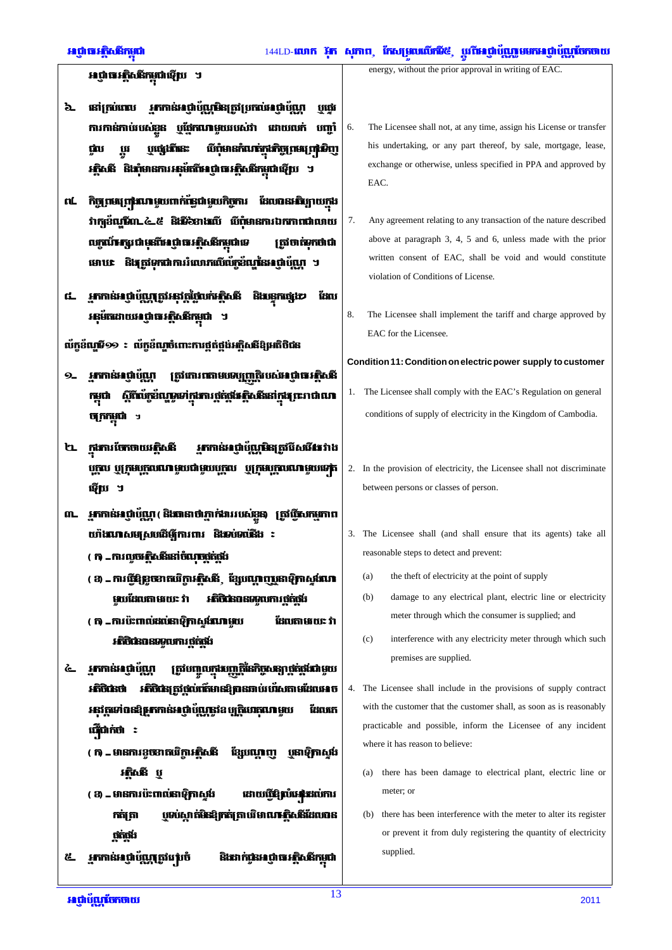អេជ្ញាធរ ក្នុងនឹកម្ពុជាឡើយ ។

- ៦. នៅក្រប់ពេល អ្នកកាន់អណ្តំប័ណ្ណមិនត្រូវប្រកល់អណ្តំប័ណ្ណ ប៊ែរើ ការកាន់កាយបស់ខ្លួន ឬផ្នែកណាមួយរបស់វា ដោយលក់ បញ្ចាំ បផ្សេងីនេះ យីពុំមានកំណត់<u>ក</u>ងកិច្ច ពមរ ព្រះទិញ ជំរប ប្រូវ អភិសនី និងាំមានការអនុម័ត្នាីអាជាធាអភិសនីកមជាធ្វើប្រ ។
- ៧. កិច្ចពស្យព**្រះបា**មបញ្ជាក់ព័ន្ធជាមួយកិច្ចករ ដែលបានអរិហ្វេយកង លក្កណ៍**អ**ជ្ជរ ជាមុនពីអេ ថ្លា បេ*អ*ក្តិសនីកម្ពុជា ទេ ស្រីថាធំទុកថាជា មោប¢ និងត្រូវទុកជាការរំលោភលើល័ក្កខ័ណ្ឌនៃអាជ្ញាយ័ណ្ណ ។
- ៅ អ្នកកាន់អណ្តំប័ណ្ណតូវអនុវត្តថ្លៃបក់អគ្គិសនី និងរន្ធកផ្សេងៗ ដែល អនុម័តដោយអាជ្ញាធាអត្តិសនីកម្ពុជា ។

ល័ក្តខ័ណ្ឌទី១១ ៖ ល័ក្តខ័ណ្ឌចំពោះការផ្គត់ផ្គង់អគ្គិសនីឱ្យអតិថិជន

- 9. អ្នកកាន់អណ្តប័ណ្ណ ត្រូវកោរពតាមបទប្បញ្ញត្តិរបស់អព្ភាធអត្តិសនី ស្តីពីលក្កខ័ណ្ឌទៅក្នុងការផ្គត់ផ្គង់អត្តិសនីនៅក្នុង ព្រះរាជាណា កមជា ចក្រកម្ពុជា
- ២ ក្នុងការចែកចាយអភ្តិសនី <u>អ្នកកាន់អាជ្ញាប័ណ្ណមិនត្រូវបីសមើវា វាង</u> បុក្ខល បុត្រមបុក្ខលណាមួយជាមួយបុក្ខល បុត្រមបុក្ខលណាមួយទៅត ណ្តើយ ។
- ៣. អាកាន់អណ្តំបំណុ និងធានាថាភាក់ងាររបស់ខ្លួន) ត្រូវបិសកម្មភាព យ៉ាងណាសមស្របដើម្បីការពារ និងអប់អានីង :
	- ( ក) \_ការលួ<del>បវត្តិ</del>សនីនៅចំណុចក្តីភ្លង់
	- ( 3) \_ ការជើឱ្យចុះមាតបើការភ្និសនី ្មដែលណាព្យបុនាទិ្យកាស្តង់ណា មួយដែលតាមរយៈ វា **អភិថិជនពនទទរបការ ថត់ថង់**
	- ( ក) \_ការប៉ះពាល់ដល់នាទិ្យកស្ទប់លោមួយ ដែលតាមរយៈ វា **អភិថិជនពន្ធមូលការថ្មត់ថ្មី**បំ
- <u>ៃ រួតកាន់អេជ្ញាប័ណ្ឌ</u> ត្រូវបញ្ចូលក្នុងបញ្ញត្តិនៃកិច្ចសន្យាថ្កត់ផ្លូងជាមួយ អភិថិជនថា អភិថិជនត្រូវផ្តល់ព័ត៌មានឱ្យបានឆាប់រហ័សតាមដែលអាច អនុវត្តទៅពន3្ស**អ្នកកាន់អាជ្ញាប័ណ្ណនូវ**ឧប្បត្តិបោតុណាមួយ ដែចចេក ណ៊ើជាក់ថា ៖
	- ( ក) មានការខចខាតបវិការភិសនី ខ្សែបណ្តេញ បូនាឱ្យកាស្តង់ **រតិ**សនី ប
	- ( 3) \_ មានការប៉ះពាល់នាឡិកាស្តម៉ ដោយចើមិ**ល័រអង្**ដល់ការ បទប់សាក់មិនឱ្យកត់ត្រាប់វិមាណ<del>ារ</del>ិសនីដែលបាន កត់ត្រា ឋត់ថង់
- អ្នកកាន់អេជ្ញាប័ណ្ណត្រូវវេសចំ និងរាក់ជូនអណ្តំបារភ្និសនីកម្ពុជា <u>៥.</u>

energy, without the prior approval in writing of EAC

- 6. The Licensee shall not, at any time, assign his License or transfer his undertaking, or any part thereof, by sale, mortgage, lease, exchange or otherwise, unless specified in PPA and approved by EAC.
- 7. Any agreement relating to any transaction of the nature described above at paragraph 3, 4, 5 and 6, unless made with the prior written consent of EAC, shall be void and would constitute violation of Conditions of License.
- 8. The Licensee shall implement the tariff and charge approved by EAC for the Licensee.

Condition 11: Condition on electric power supply to customer

- 1. The Licensee shall comply with the EAC's Regulation on general conditions of supply of electricity in the Kingdom of Cambodia.
- 2. In the provision of electricity, the Licensee shall not discriminate between persons or classes of person.
- 3. The Licensee shall (and shall ensure that its agents) take all reasonable steps to detect and prevent:
	- the theft of electricity at the point of supply  $(a)$
	- damage to any electrical plant, electric line or electricity  $(b)$ meter through which the consumer is supplied; and
	- interference with any electricity meter through which such  $(c)$ premises are supplied.
- 4. The Licensee shall include in the provisions of supply contract with the customer that the customer shall, as soon as is reasonably practicable and possible, inform the Licensee of any incident where it has reason to believe:
	- (a) there has been damage to electrical plant, electric line or meter; or
	- (b) there has been interference with the meter to alter its register or prevent it from duly registering the quantity of electricity supplied.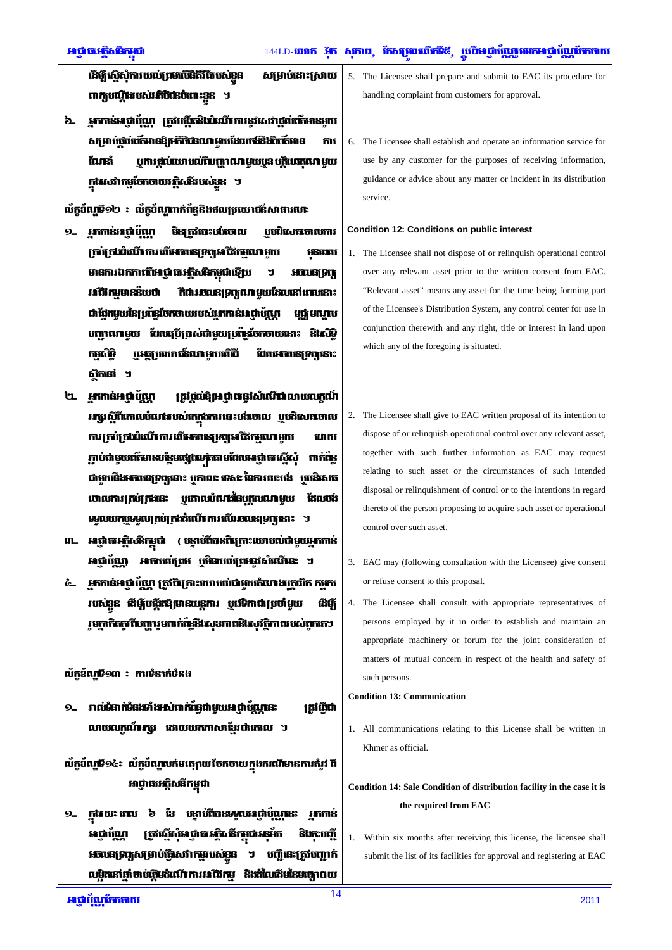**ដើម្បីស៊ើសំការ បចៅ ព្រមពើនិតិវិធី បស់ខ្លួន** សម្រាប់ដោះស្រាយ ពាក្យបណ្តឹងបស់អតិថិជនចំពោះខ្លួន ។

้อ. มากล่มเติบัณา เฉียนีเฉียมเติบการสีเอราสีเข้าก็เคลยช សម្រាប់ផ្តល់ព័ត៌មានឱ្យអតិថិជនណាមួយដែលចាំដឹងពីព័ត៌មាន ការ ឬការ ផ្តល់រយរាបល់ពីបញ្ញាណាមួយប្លួន បត្តិបោតណាមួយ ណែដាំ ក្នុងសេវាកម្មចែកចាយអត្តិសនីរបស់ខ្លួន ។

ល័ក្កខ័ណ្ឌទី១២ ៖ ល័ក្កខ័ណ្ឌពាក់ព័ន្ធនិងផលប្រយោជន៍សាធារណៈ

- 9. **เภทรัก เ**มน์ មិនត្រូវបោះបង់ចោល ប្រេដិសេចចោលការ **ក្រប់ក្រងរំលើវាការលើអភពនេន្ទ្រក្សអាជីវកម្មណាមួយ USIN** មានការឯកការពីអេជ្ញាធរអត្ថិសនីកម្ពុជាឡើយ ับ **HOOSE ONE** អជីវកមមានន័យថា ិតជា**អាចនោះទាបណាមួយដែលនៅពេលនោះ** ជាវីវេកមួយនៃប្រព័ន្ធបែកថាយរបស់អ្នកកាន់អាជាប័<mark>យ</mark>ា មធំ មណាប បញ្ហាណាមួយ ដែលប្រើប្រាស់ជាមួយប្រព័ន្ធចែកចាយនោះ និងសិទ្ធិ កមសិទិ បអតប្រយោធិ៍ណាមបរណីដ៏ ដែល**អប**ថេះ ទក្សនោះ ស្ថិតនៅ ។
- **២ អ្នកកាន់អេជ្ញាប័**ណ្ណ ត្រូវផ្តល់ឱ្យអាជ្ញាធានូវសំណើជាលាយលក្កណ៍ អក្សរស្តីពីកោលបំណងរបស់កេក្ខាងការពេះបង់ចោល ឬបដិសេធមាល ការក្រប់ក្រដើលើវការលើអោយនៃប្រកួរអំពីវកម្មណាមួយ ដោយ ភ្ជាប់ជាមួយព័ត៌មានបន្ថែមផ្សេ**ងទ**ៅតាមដែលអាជ្ញាធាស្នើសុំ ពាក់ផ្សែ ជាមបរិនិ<del>ង របាន</del>ទ្រព្យនោះ បូកាលៈ ទេសៈ នៃការលះបង់ បូបដិសេធ ចោលការ ក្រប់ក្រ**ងេ**នះ បុភោលបំណ**ងនៃ**បុក្ខលណៈមួយ ដែលចង់ **GOODINGOODING INSTITUTE IN THE UPPER STATES**
- ៣. អាជ្ញាធរអ៊ិសនិកម្ពុជា (បន្ទាប់ពីបានពិគ្រោះយោបល់ជាមួយអ្នកកាន់ អេជ្ញាប័ណ្ណ អាចបល់ព្រម បូមិនយល់ព្រមនូវសំណើនះ ។
- របស់ខ្លួន ដើម្បីបង្កីជឿមានបន្តការ ប្តូវ៉េទិកាជាប្រចាំមួយ ជីអើ រួមភ្នាកិតតូវពីបញ្ហារួមពាក់ផ្ទៃនិងសុខភាពនិងសុវត្ថិភាពរបស់ពួកភេ។

### ល័ក្ខខ័ណ្ឌទី១៣ : ការទំនាក់ទំនង

- 9\_ រាល់ទំនាក់ទំនងទាំងអប់ពាក់ផ្អែជាមួយអាជ្ញាប័ណ្ណនេះ ស្រីប៊ីជា លាយលក្កណ៍**រក្ស** ដោយយកកាសាខ្មែរជាកោល ។
- ល័ក្តខ័ណ្ឌមី១៤៖ ល័ក្តខ័ណ្ឌបក់មធ្យោយចែកចាយក្នុងករណីមានការតំរូវ ពី អាជ្ញាធរអក្តិសនីកម្ពុជា
- ក្នុងយៈ ពេល ៦ ខែ បន្ទាប់ពីបានទទួលអណ្តុំប័ណ្ណនេះ អ្នកកាន់  $Q_{-}$ អាជាប័ណ <u>ត្រូវស្នើសុំអេជ្ញាធ អត្ថិសនីកម្ពុជាអនុម័ត</u> និងចុះហ្គើ អាលនទ្រព្យសម្រាប់ប្រឹសៅកម្មរបស់ខ្លួន ។ បញ្ជីនេះត្រូវបញ្ជាក់ លមិតនៅឆាំចាប់លើមដំណើតការអាជីវកម និងតំលៃដើមនៃមធោបាយ
- 5. The Licensee shall prepare and submit to EAC its procedure for handling complaint from customers for approval.
- 6. The Licensee shall establish and operate an information service for use by any customer for the purposes of receiving information, guidance or advice about any matter or incident in its distribution service

#### **Condition 12: Conditions on public interest**

- 1. The Licensee shall not dispose of or relinquish operational control over any relevant asset prior to the written consent from EAC. "Relevant asset" means any asset for the time being forming part of the Licensee's Distribution System, any control center for use in conjunction therewith and any right, title or interest in land upon which any of the foregoing is situated.
- 2. The Licensee shall give to EAC written proposal of its intention to dispose of or relinquish operational control over any relevant asset, together with such further information as EAC may request relating to such asset or the circumstances of such intended disposal or relinquishment of control or to the intentions in regard thereto of the person proposing to acquire such asset or operational control over such asset.
- 3. EAC may (following consultation with the Licensee) give consent or refuse consent to this proposal.
- 4. The Licensee shall consult with appropriate representatives of persons employed by it in order to establish and maintain an appropriate machinery or forum for the joint consideration of matters of mutual concern in respect of the health and safety of such persons.

#### **Condition 13: Communication**

1. All communications relating to this License shall be written in Khmer as official.

## Condition 14: Sale Condition of distribution facility in the case it is the required from EAC

 $1<sup>1</sup>$ Within six months after receiving this license, the licensee shall submit the list of its facilities for approval and registering at EAC